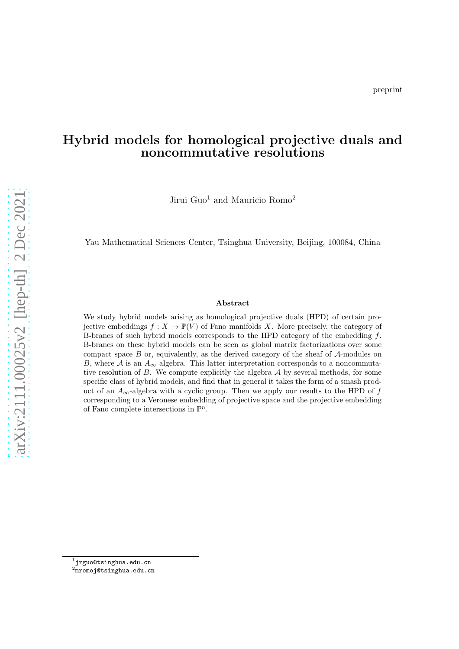# Hybrid models for homological projective duals and noncommutative resolutions

Jirui Guo<sup>[1](#page-0-0)</sup> and Mauricio Romo<sup>[2](#page-0-1)</sup>

Yau Mathematical Sciences Center, Tsinghua University, Beijing, 100084, China

#### Abstract

We study hybrid models arising as homological projective duals (HPD) of certain projective embeddings  $f: X \to \mathbb{P}(V)$  of Fano manifolds X. More precisely, the category of B-branes of such hybrid models corresponds to the HPD category of the embedding f. B-branes on these hybrid models can be seen as global matrix factorizations over some compact space  $B$  or, equivalently, as the derived category of the sheaf of  $A$ -modules on B, where A is an  $A_{\infty}$  algebra. This latter interpretation corresponds to a noncommutative resolution of  $B$ . We compute explicitly the algebra  $A$  by several methods, for some specific class of hybrid models, and find that in general it takes the form of a smash product of an  $A_{\infty}$ -algebra with a cyclic group. Then we apply our results to the HPD of f corresponding to a Veronese embedding of projective space and the projective embedding of Fano complete intersections in  $\mathbb{P}^n$ .

 $^{\rm 1}$ jrguo@tsinghua.edu.cn

<span id="page-0-1"></span><span id="page-0-0"></span> $^2$ mromoj@tsinghua.edu.cn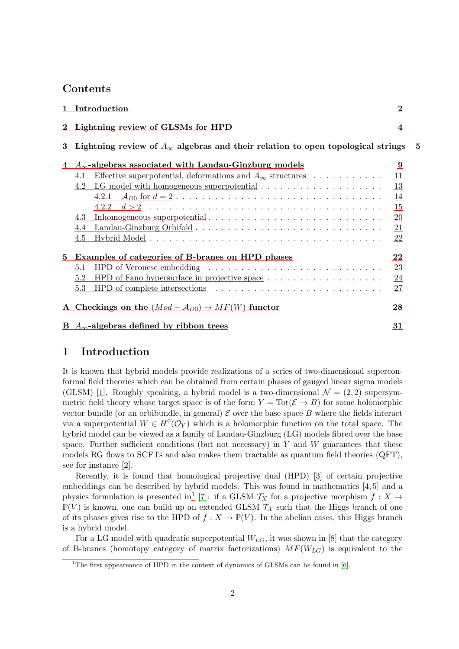### Contents

|          | 1 Introduction                                                                                                                                                           | $\bf{2}$                              |  |
|----------|--------------------------------------------------------------------------------------------------------------------------------------------------------------------------|---------------------------------------|--|
|          | 2 Lightning review of GLSMs for HPD                                                                                                                                      | 4                                     |  |
| $\bf{3}$ | Lightning review of $A_{\infty}$ algebras and their relation to open topological strings                                                                                 | - 5                                   |  |
| 4        | $A_{\infty}$ -algebras associated with Landau-Ginzburg models<br>Effective superpotential, deformations and $A_{\infty}$ structures<br>4.1<br>4.2<br>4.2.1<br>4.3<br>4.4 | 9<br>11<br>13<br>14<br>15<br>20<br>21 |  |
|          | 4.5                                                                                                                                                                      | 22                                    |  |
| 5        | Examples of categories of B-branes on HPD phases                                                                                                                         | 22                                    |  |
|          | 5.1                                                                                                                                                                      | 23                                    |  |
|          | 5.2                                                                                                                                                                      | 24                                    |  |
|          | 5.3<br>HPD of complete intersections $\ldots \ldots \ldots \ldots \ldots \ldots \ldots \ldots \ldots$                                                                    | 27                                    |  |
|          | A Checkings on the $(Mod - A_{D0}) \rightarrow MF(W)$ functor                                                                                                            | 28                                    |  |
|          | B $A_{\infty}$ -algebras defined by ribbon trees                                                                                                                         | 31                                    |  |

### <span id="page-1-0"></span>1 Introduction

It is known that hybrid models provide realizations of a series of two-dimensional superconformal field theories which can be obtained from certain phases of gauged linear sigma models (GLSM) [\[1\]](#page-32-0). Roughly speaking, a hybrid model is a two-dimensional  $\mathcal{N} = (2, 2)$  supersymmetric field theory whose target space is of the form  $Y = \text{Tot}(\mathcal{E} \to B)$  for some holomorphic vector bundle (or an orbibundle, in general)  $\mathcal E$  over the base space  $B$  where the fields interact via a superpotential  $W \in H^0(\mathcal{O}_Y)$  which is a holomorphic function on the total space. The hybrid model can be viewed as a family of Landau-Ginzburg (LG) models fibred over the base space. Further sufficient conditions (but not necessary) in  $Y$  and  $W$  guarantees that these models RG flows to SCFTs and also makes them tractable as quantum field theories (QFT), see for instance [\[2\]](#page-32-1).

Recently, it is found that homological projective dual (HPD) [\[3\]](#page-32-2) of certain projective embeddings can be described by hybrid models. This was found in mathematics [\[4,](#page-32-3) [5\]](#page-32-4) and a physics formulation is presented in<sup>[1](#page-1-1)</sup> [\[7\]](#page-33-0): if a GLSM  $\mathcal{T}_X$  for a projective morphism  $f: X \to Y$  $\mathbb{P}(V)$  is known, one can build up an extended GLSM  $\mathcal{T}_{\mathcal{X}}$  such that the Higgs branch of one of its phases gives rise to the HPD of  $f : X \to \mathbb{P}(V)$ . In the abelian cases, this Higgs branch is a hybrid model.

For a LG model with quadratic superpotential  $W_{LG}$ , it was shown in [\[8\]](#page-33-1) that the category of B-branes (homotopy category of matrix factorizations)  $MF(W_{LG})$  is equivalent to the

<span id="page-1-1"></span><sup>&</sup>lt;sup>1</sup>The first appeareance of HPD in the context of dynamics of GLSMs can be found in  $[6]$ .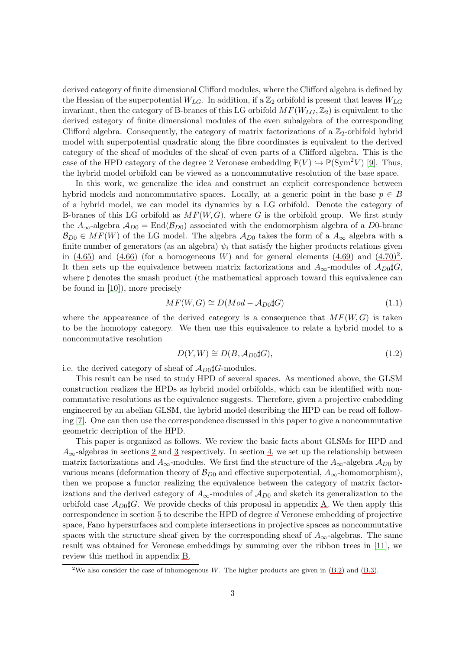derived category of finite dimensional Clifford modules, where the Clifford algebra is defined by the Hessian of the superpotential  $W_{LG}$ . In addition, if a  $\mathbb{Z}_2$  orbifold is present that leaves  $W_{LG}$ invariant, then the category of B-branes of this LG orbifold  $MF(W_{LG},\mathbb{Z}_2)$  is equivalent to the derived category of finite dimensional modules of the even subalgebra of the corresponding Clifford algebra. Consequently, the category of matrix factorizations of a  $\mathbb{Z}_2$ -orbifold hybrid model with superpotential quadratic along the fibre coordinates is equivalent to the derived category of the sheaf of modules of the sheaf of even parts of a Clifford algebra. This is the case of the HPD category of the degree 2 Veronese embedding  $\mathbb{P}(V) \hookrightarrow \mathbb{P}(\text{Sym}^2 V)$  [\[9\]](#page-33-2). Thus, the hybrid model orbifold can be viewed as a noncommutative resolution of the base space.

In this work, we generalize the idea and construct an explicit correspondence between hybrid models and noncommutative spaces. Locally, at a generic point in the base  $p \in B$ of a hybrid model, we can model its dynamics by a LG orbifold. Denote the category of B-branes of this LG orbifold as  $MF(W, G)$ , where G is the orbifold group. We first study the  $A_{\infty}$ -algebra  $A_{D0} = \text{End}(\mathcal{B}_{D0})$  associated with the endomorphism algebra of a D0-brane  $\mathcal{B}_{D0} \in MF(W)$  of the LG model. The algebra  $\mathcal{A}_{D0}$  takes the form of a  $A_{\infty}$  algebra with a finite number of generators (as an algebra)  $\psi_i$  that satisfy the higher products relations given in  $(4.65)$  and  $(4.66)$  (for a homogeneous W) and for general elements  $(4.69)$  and  $(4.70)^2$  $(4.70)^2$ . It then sets up the equivalence between matrix factorizations and  $A_{\infty}$ -modules of  $A_{D0} \sharp G$ , where  $\sharp$  denotes the smash product (the mathematical approach toward this equivalence can be found in [\[10\]](#page-33-3)), more precisely

$$
MF(W, G) \cong D(Mod - A_{D0}\sharp G) \tag{1.1}
$$

where the appeareance of the derived category is a consequence that  $MF(W, G)$  is taken to be the homotopy category. We then use this equivalence to relate a hybrid model to a noncommutative resolution

$$
D(Y, W) \cong D(B, \mathcal{A}_{D0} \sharp G), \tag{1.2}
$$

i.e. the derived category of sheaf of  $\mathcal{A}_{D0} \sharp G$ -modules.

This result can be used to study HPD of several spaces. As mentioned above, the GLSM construction realizes the HPDs as hybrid model orbifolds, which can be identified with noncommutative resolutions as the equivalence suggests. Therefore, given a projective embedding engineered by an abelian GLSM, the hybrid model describing the HPD can be read off following [\[7\]](#page-33-0). One can then use the correspondence discussed in this paper to give a noncommutative geometric decription of the HPD.

This paper is organized as follows. We review the basic facts about GLSMs for HPD and  $A_{\infty}$ -algebras in sections [2](#page-3-0) and [3](#page-4-0) respectively. In section [4,](#page-8-0) we set up the relationship between matrix factorizations and  $A_{\infty}$ -modules. We first find the structure of the  $A_{\infty}$ -algebra  $\mathcal{A}_{D0}$  by various means (deformation theory of  $\mathcal{B}_{D0}$  and effective superpotential,  $A_{\infty}$ -homomorphism), then we propose a functor realizing the equivalence between the category of matrix factorizations and the derived category of  $A_{\infty}$ -modules of  $A_{D0}$  and sketch its generalization to the orbifold case  $A_{D0}\sharp G$ . We provide checks of this proposal in appendix [A.](#page-27-0) We then apply this correspondence in section [5](#page-21-1) to describe the HPD of degree d Veronese embedding of projective space, Fano hypersurfaces and complete intersections in projective spaces as noncommutative spaces with the structure sheaf given by the corresponding sheaf of  $A_{\infty}$ -algebras. The same result was obtained for Veronese embeddings by summing over the ribbon trees in [\[11\]](#page-33-4), we review this method in appendix [B.](#page-30-0)

<span id="page-2-0"></span><sup>&</sup>lt;sup>2</sup>We also consider the case of inhomogenous W. The higher products are given in  $(B.2)$  and  $(B.3)$ .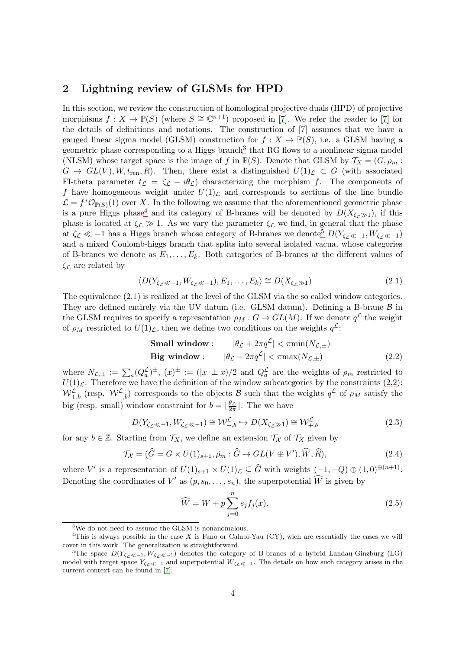### <span id="page-3-0"></span>2 Lightning review of GLSMs for HPD

In this section, we review the construction of homological projective duals (HPD) of projective morphisms  $f: X \to \mathbb{P}(S)$  (where  $S \cong \mathbb{C}^{n+1}$ ) proposed in [\[7\]](#page-33-0). We refer the reader to [7] for the details of definitions and notations. The construction of [\[7\]](#page-33-0) assumes that we have a gauged linear sigma model (GLSM) construction for  $f: X \to \mathbb{P}(S)$ , i.e. a GLSM having a geometric phase corresponding to a Higgs branch<sup>[3](#page-3-1)</sup> that RG flows to a nonlinear sigma model (NLSM) whose target space is the image of f in  $\mathbb{P}(S)$ . Denote that GLSM by  $\mathcal{T}_X = (G, \rho_m :$  $G \to GL(V), W, t_{ren}, R$ ). Then, there exist a distinguished  $U(1)_{\mathcal{L}} \subset G$  (with associated FI-theta parameter  $t_c = \zeta_c - i\theta_c$ ) characterizing the morphism f. The components of f have homogeneous weight under  $U(1)<sub>C</sub>$  and corresponds to sections of the line bundle  $\mathcal{L} = f^* \mathcal{O}_{\mathbb{P}(S)}(1)$  over X. In the following we assume that the aforementioned geometric phase is a pure Higgs phase<sup>[4](#page-3-2)</sup> and its category of B-branes will be denoted by  $D(X_{\zeta_c\gg 1})$ , if this phase is located at  $\zeta_{\mathcal{L}} \gg 1$ . As we vary the parameter  $\zeta_{\mathcal{L}}$  we find, in general that the phase at  $\zeta_L \ll -1$  has a Higgs branch whose category of B-branes we denote<sup>[5](#page-3-3)</sup>  $D(Y_{\zeta_L \ll -1}, W_{\zeta_L \ll -1})$ and a mixed Coulomb-higgs branch that splits into several isolated vacua, whose categories of B-branes we denote as  $E_1, \ldots, E_k$ . Both categories of B-branes at the different values of  $\zeta_{\mathcal{L}}$  are related by

<span id="page-3-4"></span>
$$
\langle D(Y_{\zeta_{\mathcal{L}}\ll -1}, W_{\zeta_{\mathcal{L}}\ll -1}), E_1, \dots, E_k \rangle \cong D(X_{\zeta_{\mathcal{L}}\gg 1})
$$
\n(2.1)

The equivalence [\(2.1\)](#page-3-4) is realized at the level of the GLSM via the so called window categories. They are defined entirely via the UV datum (i.e. GLSM datum). Defining a B-brane  $\beta$  in the GLSM requires to specify a representation  $\rho_M : G \to GL(M)$ . If we denote  $q^{\mathcal{L}}$  the weight of  $\rho_M$  restricted to  $U(1)_{\mathcal{L}}$ , then we define two conditions on the weights  $q^{\mathcal{L}}$ :

<span id="page-3-5"></span>Small window: 
$$
|\theta_{\mathcal{L}} + 2\pi q^{\mathcal{L}}| < \pi \min(N_{\mathcal{L},\pm})
$$

\nBig window:  $|\theta_{\mathcal{L}} + 2\pi q^{\mathcal{L}}| < \pi \max(N_{\mathcal{L},\pm})$ 

\n(2.2)

where  $N_{\mathcal{L},\pm} := \sum_a (Q_a^{\mathcal{L}})^{\pm}$ ,  $(x)^{\pm} := (|x| \pm x)/2$  and  $Q_a^{\mathcal{L}}$  are the weights of  $\rho_m$  restricted to  $U(1)<sub>L</sub>$ . Therefore we have the definition of the window subcategories by the constraints [\(2.2\)](#page-3-5):  $W_{+,b}^{\mathcal{L}}$  (resp.  $W_{-,b}^{\mathcal{L}}$ ) corresponds to the objects  $\mathcal{B}$  such that the weights  $q^{\mathcal{L}}$  of  $\rho_M$  satisfy the big (resp. small) window constraint for  $b = \lfloor \frac{\theta C}{2\pi} \rfloor$  $\frac{\theta_{\mathcal{L}}}{2\pi}$ . The we have

$$
D(Y_{\zeta_{\mathcal{L}}\ll -1}, W_{\zeta_{\mathcal{L}}\ll -1}) \cong \mathcal{W}^{\mathcal{L}}_{-,b} \hookrightarrow D(X_{\zeta_{\mathcal{L}}\gg 1}) \cong \mathcal{W}^{\mathcal{L}}_{+,b}
$$
\n(2.3)

for any  $b \in \mathbb{Z}$ . Starting from  $\mathcal{T}_X$ , we define an extension  $\mathcal{T}_X$  of  $\mathcal{T}_X$  given by

$$
\mathcal{T}_{\mathcal{X}} = (\widehat{G} = G \times U(1)_{s+1}, \widehat{\rho}_m : \widehat{G} \to GL(V \oplus V'), \widehat{W}, \widehat{R}),
$$
\n(2.4)

where V' is a representation of  $U(1)_{s+1} \times U(1)_{\mathcal{L}} \subseteq \widehat{G}$  with weights  $(-1, -Q) \oplus (1, 0)^{\oplus (n+1)}$ . Denoting the coordinates of  $V'$  as  $(p, s_0, \ldots, s_n)$ , the superpotential  $\widehat{W}$  is given by

$$
\widehat{W} = W + p \sum_{j=0}^{n} s_j f_j(x),\tag{2.5}
$$

<span id="page-3-1"></span><sup>&</sup>lt;sup>3</sup>We do not need to assume the GLSM is nonanomalous.

<sup>&</sup>lt;sup>4</sup>This is always possible in the case X is Fano or Calabi-Yau (CY), wich are essentially the cases we will cover in this work. The generalization is straightforward.

<span id="page-3-3"></span><span id="page-3-2"></span><sup>&</sup>lt;sup>5</sup>The space  $D(Y_{\zeta_{\mathcal{L}}\ll -1}, W_{\zeta_{\mathcal{L}}\ll -1})$  denotes the category of B-branes of a hybrid Landau-Ginzburg (LG) model with target space  $Y_{\zeta_{\mathcal{L}}\ll -1}$  and superpotential  $W_{\zeta_{\mathcal{L}}\ll -1}$ . The details on how such category arises in the current context can be found in [\[7\]](#page-33-0).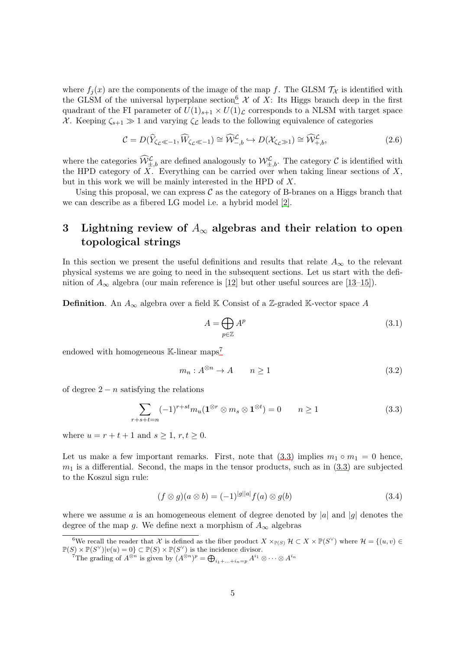where  $f_i(x)$  are the components of the image of the map f. The GLSM  $\mathcal{T}_{\mathcal{X}}$  is identified with the GLSM of the universal hyperplane section<sup>[6](#page-4-1)</sup>  $\mathcal X$  of X: Its Higgs branch deep in the first quadrant of the FI parameter of  $U(1)_{s+1} \times U(1)_{\mathcal{L}}$  corresponds to a NLSM with target space X. Keeping  $\zeta_{s+1} \gg 1$  and varying  $\zeta_{\mathcal{L}}$  leads to the following equivalence of categories

<span id="page-4-4"></span>
$$
\mathcal{C} = D(\widehat{Y}_{\zeta_{\mathcal{L}} \ll -1}, \widehat{W}_{\zeta_{\mathcal{L}} \ll -1}) \cong \widehat{\mathcal{W}}_{-,b}^{\mathcal{L}} \hookrightarrow D(\mathcal{X}_{\zeta_{\mathcal{L}} \gg 1}) \cong \widehat{\mathcal{W}}_{+,b}^{\mathcal{L}},
$$
\n(2.6)

where the categories  $\widehat{\mathcal{W}}^{\mathcal{L}}_{\pm,b}$  are defined analogously to  $\mathcal{W}^{\mathcal{L}}_{\pm,b}$ . The category  $\mathcal C$  is identified with the HPD category of  $\overline{X}$ . Everything can be carried over when taking linear sections of X, but in this work we will be mainly interested in the HPD of X.

Using this proposal, we can express  $\mathcal C$  as the category of B-branes on a Higgs branch that we can describe as a fibered LG model i.e. a hybrid model [\[2\]](#page-32-1).

## <span id="page-4-0"></span>3 Lightning review of  $A_{\infty}$  algebras and their relation to open topological strings

In this section we present the useful definitions and results that relate  $A_{\infty}$  to the relevant physical systems we are going to need in the subsequent sections. Let us start with the definition of  $A_{\infty}$  algebra (our main reference is [\[12\]](#page-33-5) but other useful sources are [\[13](#page-33-6)[–15\]](#page-33-7)).

**Definition.** An  $A_{\infty}$  algebra over a field K Consist of a Z-graded K-vector space A

$$
A = \bigoplus_{p \in \mathbb{Z}} A^p \tag{3.1}
$$

endowed with homogeneous  $\mathbb{K}\text{-linear maps}^7$  $\mathbb{K}\text{-linear maps}^7$ 

$$
m_n: A^{\otimes n} \to A \qquad n \ge 1 \tag{3.2}
$$

of degree  $2 - n$  satisfying the relations

<span id="page-4-3"></span>
$$
\sum_{r+s+t=n} (-1)^{r+st} m_u(\mathbf{1}^{\otimes r} \otimes m_s \otimes \mathbf{1}^{\otimes t}) = 0 \qquad n \ge 1
$$
\n(3.3)

where  $u = r + t + 1$  and  $s \ge 1, r, t \ge 0$ .

Let us make a few important remarks. First, note that  $(3.3)$  implies  $m_1 \circ m_1 = 0$  hence,  $m_1$  is a differential. Second, the maps in the tensor products, such as in  $(3.3)$  are subjected to the Koszul sign rule:

$$
(f \otimes g)(a \otimes b) = (-1)^{|g||a|} f(a) \otimes g(b) \tag{3.4}
$$

where we assume a is an homogeneous element of degree denoted by |a| and |g| denotes the degree of the map g. We define next a morphism of  $A_{\infty}$  algebras

<sup>&</sup>lt;sup>6</sup>We recall the reader that X is defined as the fiber product  $X \times_{\mathbb{P}(S)} \mathcal{H} \subset X \times \mathbb{P}(S^{\vee})$  where  $\mathcal{H} = \{(u, v) \in$  $\mathbb{P}(S) \times \mathbb{P}(S^{\vee}) | v(u) = 0 \} \subset \mathbb{P}(S) \times \mathbb{P}(S^{\vee})$  is the incidence divisor.

<span id="page-4-2"></span><span id="page-4-1"></span><sup>&</sup>lt;sup>7</sup>The grading of  $A^{\otimes n}$  is given by  $(A^{\otimes n})^p = \bigoplus_{i_1 + ... + i_n = p} A^{i_1} \otimes \cdots \otimes A^{i_n}$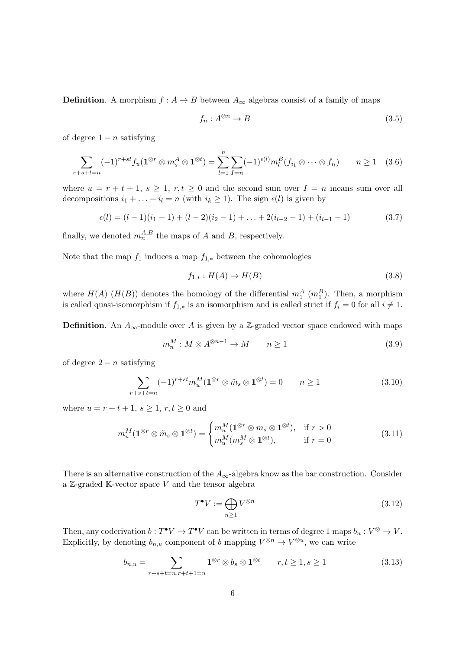**Definition.** A morphism  $f : A \to B$  between  $A_{\infty}$  algebras consist of a family of maps

$$
f_n: A^{\otimes n} \to B \tag{3.5}
$$

of degree  $1 - n$  satisfying

<span id="page-5-0"></span>
$$
\sum_{r+s+t=n} (-1)^{r+st} f_u(\mathbf{1}^{\otimes r} \otimes m_s^A \otimes \mathbf{1}^{\otimes t}) = \sum_{l=1}^n \sum_{I=n} (-1)^{\epsilon(l)} m_l^B(f_{i_1} \otimes \cdots \otimes f_{i_l}) \qquad n \ge 1 \quad (3.6)
$$

where  $u = r + t + 1$ ,  $s \ge 1$ ,  $r, t \ge 0$  and the second sum over  $I = n$  means sum over all decompositions  $i_1 + \ldots + i_l = n$  (with  $i_k \ge 1$ ). The sign  $\epsilon(l)$  is given by

$$
\epsilon(l) = (l-1)(i_1-1) + (l-2)(i_2-1) + \ldots + 2(i_{l-2}-1) + (i_{l-1}-1) \tag{3.7}
$$

finally, we denoted  $m_n^{A,B}$  the maps of A and B, respectively.

Note that the map  $f_1$  induces a map  $f_{1,*}$  between the cohomologies

$$
f_{1,*}:H(A)\to H(B)\tag{3.8}
$$

where  $H(A)$  ( $H(B)$ ) denotes the homology of the differential  $m_1^A$  ( $m_1^B$ ). Then, a morphism is called quasi-isomorphism if  $f_{1,*}$  is an isomorphism and is called strict if  $f_i = 0$  for all  $i \neq 1$ .

**Definition.** An  $A_{\infty}$ -module over A is given by a Z-graded vector space endowed with maps

$$
m_n^M : M \otimes A^{\otimes n-1} \to M \qquad n \ge 1 \tag{3.9}
$$

of degree  $2 - n$  satisfying

$$
\sum_{r+s+t=n} (-1)^{r+st} m_u^M(\mathbf{1}^{\otimes r} \otimes \tilde{m}_s \otimes \mathbf{1}^{\otimes t}) = 0 \qquad n \ge 1 \tag{3.10}
$$

where  $u = r + t + 1$ ,  $s \ge 1$ ,  $r, t \ge 0$  and

$$
m_u^M(\mathbf{1}^{\otimes r} \otimes \tilde{m}_s \otimes \mathbf{1}^{\otimes t}) = \begin{cases} m_u^M(\mathbf{1}^{\otimes r} \otimes m_s \otimes \mathbf{1}^{\otimes t}), & \text{if } r > 0\\ m_u^M(m_s^M \otimes \mathbf{1}^{\otimes t}), & \text{if } r = 0 \end{cases}
$$
(3.11)

There is an alternative construction of the  $A_{\infty}$ -algebra know as the bar construction. Consider a  $\mathbb{Z}$ -graded  $\mathbb{K}$ -vector space  $V$  and the tensor algebra

$$
T^{\bullet}V := \bigoplus_{n \ge 1} V^{\otimes n} \tag{3.12}
$$

Then, any coderivation  $b: T^{\bullet}V \to T^{\bullet}V$  can be written in terms of degree 1 maps  $b_n: V^{\otimes} \to V$ . Explicitly, by denoting  $b_{n,u}$  component of b mapping  $V^{\otimes n} \to V^{\otimes u}$ , we can write

$$
b_{n,u} = \sum_{r+s+t=n,r+t+1=u} \mathbf{1}^{\otimes r} \otimes b_s \otimes \mathbf{1}^{\otimes t} \qquad r,t \ge 1, s \ge 1 \tag{3.13}
$$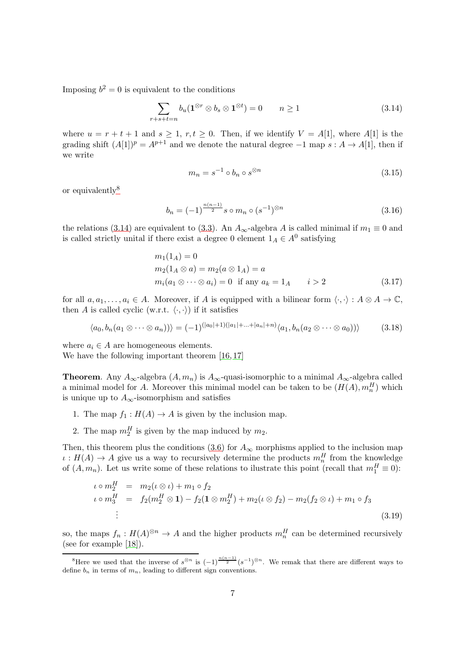Imposing  $b^2 = 0$  is equivalent to the conditions

<span id="page-6-1"></span>
$$
\sum_{r+s+t=n} b_u(\mathbf{1}^{\otimes r} \otimes b_s \otimes \mathbf{1}^{\otimes t}) = 0 \qquad n \ge 1 \tag{3.14}
$$

where  $u = r + t + 1$  and  $s \geq 1, r, t \geq 0$ . Then, if we identify  $V = A[1]$ , where  $A[1]$  is the grading shift  $(A[1])^p = A^{p+1}$  and we denote the natural degree  $-1$  map  $s: A \to A[1]$ , then if we write

$$
m_n = s^{-1} \circ b_n \circ s^{\otimes n} \tag{3.15}
$$

or equivalently $8$ 

$$
b_n = (-1)^{\frac{n(n-1)}{2}} s \circ m_n \circ (s^{-1})^{\otimes n}
$$
 (3.16)

the relations (3.[14\)](#page-6-1) are equivalent to (3.[3\)](#page-4-3). An  $A_{\infty}$ -algebra A is called minimal if  $m_1 \equiv 0$  and is called strictly unital if there exist a degree 0 element  $1_A \in A^0$  satisfying

<span id="page-6-2"></span>
$$
m_1(1_A) = 0
$$
  
\n
$$
m_2(1_A \otimes a) = m_2(a \otimes 1_A) = a
$$
  
\n
$$
m_i(a_1 \otimes \cdots \otimes a_i) = 0 \text{ if any } a_k = 1_A \qquad i > 2
$$
\n(3.17)

for all  $a, a_1, \ldots, a_i \in A$ . Moreover, if A is equipped with a bilinear form  $\langle \cdot, \cdot \rangle : A \otimes A \to \mathbb{C}$ , then A is called cyclic (w.r.t.  $\langle \cdot, \cdot \rangle$ ) if it satisfies

$$
\langle a_0, b_n(a_1 \otimes \cdots \otimes a_n) \rangle \rangle = (-1)^{(|a_0|+1)(|a_1|+\cdots+|a_n|+n)} \langle a_1, b_n(a_2 \otimes \cdots \otimes a_0) \rangle \tag{3.18}
$$

where  $a_i \in A$  are homogeneous elements. We have the following important theorem [\[16,](#page-33-8) [17\]](#page-33-9)

**Theorem.** Any  $A_{\infty}$ -algebra  $(A, m_n)$  is  $A_{\infty}$ -quasi-isomorphic to a minimal  $A_{\infty}$ -algebra called a minimal model for A. Moreover this minimal model can be taken to be  $(H(A), m_n^H)$  which is unique up to  $A_{\infty}$ -isomorphism and satisfies

- 1. The map  $f_1 : H(A) \to A$  is given by the inclusion map.
- 2. The map  $m_2^H$  is given by the map induced by  $m_2$ .

Then, this theorem plus the conditions [\(3.6\)](#page-5-0) for  $A_{\infty}$  morphisms applied to the inclusion map  $\iota: H(A) \to A$  give us a way to recursively determine the products  $m_n^H$  from the knowledge of  $(A, m_n)$ . Let us write some of these relations to ilustrate this point (recall that  $m_1^H \equiv 0$ ):

<span id="page-6-3"></span>
$$
\iota \circ m_2^H = m_2(\iota \otimes \iota) + m_1 \circ f_2
$$
  
\n
$$
\iota \circ m_3^H = f_2(m_2^H \otimes 1) - f_2(1 \otimes m_2^H) + m_2(\iota \otimes f_2) - m_2(f_2 \otimes \iota) + m_1 \circ f_3
$$
  
\n
$$
\vdots
$$
\n(3.19)

so, the maps  $f_n: H(A)^{\otimes n} \to A$  and the higher products  $m_n^H$  can be determined recursively (see for example [\[18\]](#page-33-10)).

<span id="page-6-0"></span><sup>&</sup>lt;sup>8</sup>Here we used that the inverse of  $s^{\otimes n}$  is  $(-1)^{\frac{n(n-1)}{2}}(s^{-1})^{\otimes n}$ . We remak that there are different ways to define  $b_n$  in terms of  $m_n$ , leading to different sign conventions.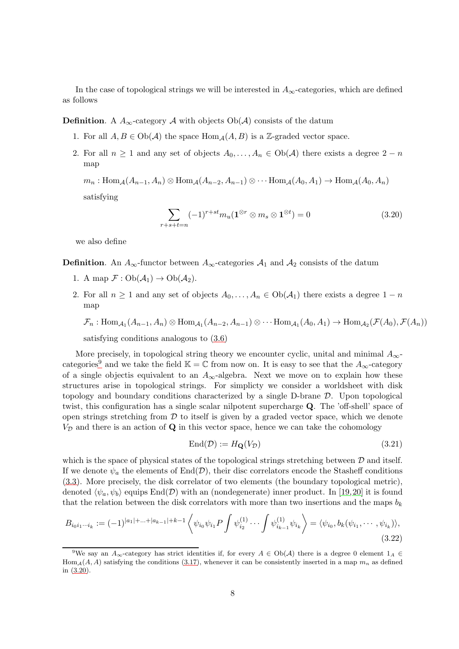In the case of topological strings we will be interested in  $A_{\infty}$ -categories, which are defined as follows

**Definition.** A  $A_{\infty}$ -category A with objects  $Ob(A)$  consists of the datum

- 1. For all  $A, B \in Ob(\mathcal{A})$  the space  $Hom_{\mathcal{A}}(A, B)$  is a Z-graded vector space.
- 2. For all  $n \geq 1$  and any set of objects  $A_0, \ldots, A_n \in Ob(\mathcal{A})$  there exists a degree  $2 n$ map

 $m_n : \text{Hom}_{\mathcal{A}}(A_{n-1}, A_n) \otimes \text{Hom}_{\mathcal{A}}(A_{n-2}, A_{n-1}) \otimes \cdots \text{Hom}_{\mathcal{A}}(A_0, A_1) \to \text{Hom}_{\mathcal{A}}(A_0, A_n)$ 

satisfying

<span id="page-7-1"></span>
$$
\sum_{r+s+t=n}(-1)^{r+st}m_u(\mathbf{1}^{\otimes r}\otimes m_s\otimes \mathbf{1}^{\otimes t})=0\tag{3.20}
$$

we also define

**Definition.** An  $A_{\infty}$ -functor between  $A_{\infty}$ -categories  $A_1$  and  $A_2$  consists of the datum

- 1. A map  $\mathcal{F}: Ob(\mathcal{A}_1) \to Ob(\mathcal{A}_2)$ .
- 2. For all  $n \geq 1$  and any set of objects  $A_0, \ldots, A_n \in Ob(\mathcal{A}_1)$  there exists a degree  $1 n$ map

 $\mathcal{F}_n: \text{Hom}_{\mathcal{A}_1}(A_{n-1}, A_n) \otimes \text{Hom}_{\mathcal{A}_1}(A_{n-2}, A_{n-1}) \otimes \cdots \text{Hom}_{\mathcal{A}_1}(A_0, A_1) \to \text{Hom}_{\mathcal{A}_2}(\mathcal{F}(A_0), \mathcal{F}(A_n))$ 

satisfying conditions analogous to [\(3.6\)](#page-5-0)

More precisely, in topological string theory we encounter cyclic, unital and minimal  $A_{\infty}$ -categories<sup>[9](#page-7-0)</sup> and we take the field K =  $\mathbb C$  from now on. It is easy to see that the  $A_{\infty}$ -category of a single object is equivalent to an  $A_{\infty}$ -algebra. Next we move on to explain how these structures arise in topological strings. For simplicty we consider a worldsheet with disk topology and boundary conditions characterized by a single  $D$ -brane  $D$ . Upon topological twist, this configuration has a single scalar nilpotent supercharge Q. The 'off-shell' space of open strings stretching from  $D$  to itself is given by a graded vector space, which we denote  $V_{\mathcal{D}}$  and there is an action of  $\mathbf Q$  in this vector space, hence we can take the cohomology

$$
End(\mathcal{D}) := H_{\mathbf{Q}}(V_{\mathcal{D}}) \tag{3.21}
$$

which is the space of physical states of the topological strings stretching between  $\mathcal D$  and itself. If we denote  $\psi_a$  the elements of  $\text{End}(\mathcal{D})$ , their disc correlators encode the Stasheff conditions [\(3.3\)](#page-4-3). More precisely, the disk correlator of two elements (the boundary topological metric), denoted  $\langle \psi_a, \psi_b \rangle$  equips End(D) with an (nondegenerate) inner product. In [\[19,](#page-33-11)[20\]](#page-33-12) it is found that the relation between the disk correlators with more than two insertions and the maps  $b_k$ 

<span id="page-7-2"></span>
$$
B_{i_0i_1\cdots i_k} := (-1)^{|a_1| + \cdots + |a_{k-1}| + k - 1} \left\langle \psi_{i_0} \psi_{i_1} P \int \psi_{i_2}^{(1)} \cdots \int \psi_{i_{k-1}}^{(1)} \psi_{i_k} \right\rangle = \left\langle \psi_{i_0}, b_k(\psi_{i_1}, \cdots, \psi_{i_k}) \right\rangle, \tag{3.22}
$$

<span id="page-7-0"></span><sup>&</sup>lt;sup>9</sup>We say an  $A_{\infty}$ -category has strict identities if, for every  $A \in Ob(\mathcal{A})$  there is a degree 0 element  $1_A \in$ Hom<sub>A</sub>(A, A) satisfying the conditions [\(3.17\)](#page-6-2), whenever it can be consistently inserted in a map  $m_n$  as defined in [\(3.20\)](#page-7-1).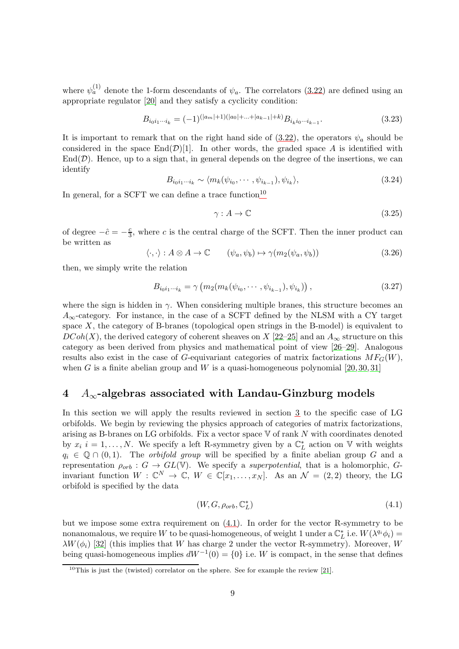where  $\psi_a^{(1)}$  denote the 1-form descendants of  $\psi_a$ . The correlators [\(3.22\)](#page-7-2) are defined using an appropriate regulator [\[20\]](#page-33-12) and they satisfy a cyclicity condition:

$$
B_{i_0i_1\cdots i_k} = (-1)^{(|a_m|+1)(|a_0|+\cdots+|a_{k-1}|+k)} B_{i_ki_0\cdots i_{k-1}}.
$$
\n(3.23)

It is important to remark that on the right hand side of  $(3.22)$ , the operators  $\psi_a$  should be considered in the space  $\text{End}(\mathcal{D})[1]$ . In other words, the graded space A is identified with  $\text{End}(\mathcal{D})$ . Hence, up to a sign that, in general depends on the degree of the insertions, we can identify

$$
B_{i_0i_1\cdots i_k} \sim \langle m_k(\psi_{i_0}, \cdots, \psi_{i_{k-1}}), \psi_{i_k} \rangle, \tag{3.24}
$$

In general, for a SCFT we can define a trace function<sup>[10](#page-8-1)</sup>

$$
\gamma : A \to \mathbb{C} \tag{3.25}
$$

of degree  $-\hat{c} = -\frac{c}{3}$  $\frac{c}{3}$ , where c is the central charge of the SCFT. Then the inner product can be written as

$$
\langle \cdot, \cdot \rangle : A \otimes A \to \mathbb{C} \qquad (\psi_a, \psi_b) \mapsto \gamma(m_2(\psi_a, \psi_b)) \tag{3.26}
$$

then, we simply write the relation

$$
B_{i_0 i_1 \cdots i_k} = \gamma \left( m_2(m_k(\psi_{i_0}, \cdots, \psi_{i_{k-1}}), \psi_{i_k}) \right), \tag{3.27}
$$

where the sign is hidden in  $\gamma$ . When considering multiple branes, this structure becomes an  $A_{\infty}$ -category. For instance, in the case of a SCFT defined by the NLSM with a CY target space  $X$ , the category of B-branes (topological open strings in the B-model) is equivalent to  $DCoh(X)$ , the derived category of coherent sheaves on X [\[22](#page-33-13)[–25\]](#page-34-0) and an  $A_{\infty}$  structure on this category as been derived from physics and mathematical point of view [\[26–](#page-34-1)[29\]](#page-34-2). Analogous results also exist in the case of G-equivariant categories of matrix factorizations  $MF_G(W)$ , when G is a finite abelian group and W is a quasi-homogeneous polynomial  $[20, 30, 31]$  $[20, 30, 31]$  $[20, 30, 31]$ 

### <span id="page-8-0"></span>4  $A_{\infty}$ -algebras associated with Landau-Ginzburg models

In this section we will apply the results reviewed in section [3](#page-4-0) to the specific case of LG orbifolds. We begin by reviewing the physics approach of categories of matrix factorizations, arising as B-branes on LG orbifolds. Fix a vector space  $V$  of rank  $N$  with coordinates denoted by  $x_i$  i = 1,..., N. We specify a left R-symmetry given by a  $\mathbb{C}_L^*$  action on V with weights  $q_i \in \mathbb{Q} \cap (0,1)$ . The *orbifold group* will be specified by a finite abelian group G and a representation  $\rho_{orb} : G \to GL(V)$ . We specify a *superpotential*, that is a holomorphic, Ginvariant function  $W : \mathbb{C}^N \to \mathbb{C}, W \in \mathbb{C}[x_1,\ldots,x_N]$ . As an  $\mathcal{N} = (2,2)$  theory, the LG orbifold is specified by the data

<span id="page-8-2"></span>
$$
(W, G, \rho_{orb}, \mathbb{C}_L^*)\tag{4.1}
$$

but we impose some extra requirement on [\(4.1\)](#page-8-2). In order for the vector R-symmetry to be nonanomalous, we require W to be quasi-homogeneous, of weight 1 under a  $\mathbb{C}_L^*$  i.e.  $W(\lambda^{q_i} \phi_i) =$  $\lambda W(\phi_i)$  [\[32\]](#page-34-5) (this implies that W has charge 2 under the vector R-symmetry). Moreover, W being quasi-homogeneous implies  $dW^{-1}(0) = \{0\}$  i.e. W is compact, in the sense that defines

<span id="page-8-1"></span><sup>&</sup>lt;sup>10</sup>This is just the (twisted) correlator on the sphere. See for example the review [\[21\]](#page-33-14).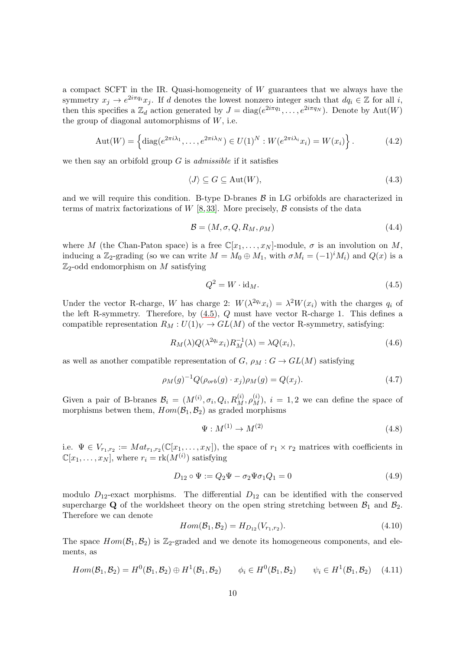a compact SCFT in the IR. Quasi-homogeneity of W guarantees that we always have the symmetry  $x_j \to e^{2i\pi q_i} x_j$ . If d denotes the lowest nonzero integer such that  $dq_i \in \mathbb{Z}$  for all i, then this specifies a  $\mathbb{Z}_d$  action generated by  $J = \text{diag}(e^{2i\pi q_1}, \dots, e^{2i\pi q_N})$ . Denote by  $\text{Aut}(W)$ the group of diagonal automorphisms of  $W$ , i.e.

$$
Aut(W) = \left\{ diag(e^{2\pi i \lambda_1}, \dots, e^{2\pi i \lambda_N}) \in U(1)^N : W(e^{2\pi i \lambda_i} x_i) = W(x_i) \right\}.
$$
 (4.2)

we then say an orbifold group  $G$  is *admissible* if it satisfies

<span id="page-9-1"></span>
$$
\langle J \rangle \subseteq G \subseteq \text{Aut}(W),\tag{4.3}
$$

and we will require this condition. B-type D-branes  $\beta$  in LG orbifolds are characterized in terms of matrix factorizations of W [\[8,](#page-33-1)33]. More precisely,  $\beta$  consists of the data

$$
\mathcal{B} = (M, \sigma, Q, R_M, \rho_M) \tag{4.4}
$$

where M (the Chan-Paton space) is a free  $\mathbb{C}[x_1,\ldots,x_N]$ -module,  $\sigma$  is an involution on M, inducing a Z<sub>2</sub>-grading (so we can write  $M = M_0 \oplus M_1$ , with  $\sigma M_i = (-1)^i M_i$ ) and  $Q(x)$  is a  $\mathbb{Z}_2$ -odd endomorphism on M satisfying

<span id="page-9-0"></span>
$$
Q^2 = W \cdot \mathrm{id}_M. \tag{4.5}
$$

Under the vector R-charge, W has charge 2:  $W(\lambda^{2q_i}x_i) = \lambda^2 W(x_i)$  with the charges  $q_i$  of the left R-symmetry. Therefore, by  $(4.5)$ ,  $Q$  must have vector R-charge 1. This defines a compatible representation  $R_M : U(1)_V \to GL(M)$  of the vector R-symmetry, satisfying:

$$
R_M(\lambda)Q(\lambda^{2q_i}x_i)R_M^{-1}(\lambda) = \lambda Q(x_i),\tag{4.6}
$$

as well as another compatible representation of  $G$ ,  $\rho_M$  :  $G \to GL(M)$  satisfying

$$
\rho_M(g)^{-1} Q(\rho_{orb}(g) \cdot x_j) \rho_M(g) = Q(x_j). \tag{4.7}
$$

Given a pair of B-branes  $\mathcal{B}_i = (M^{(i)}, \sigma_i, Q_i, R_M^{(i)}, \rho_M^{(i)})$ ,  $i = 1, 2$  we can define the space of morphisms betwen them,  $Hom(\mathcal{B}_1,\mathcal{B}_2)$  as graded morphisms

$$
\Psi: M^{(1)} \to M^{(2)} \tag{4.8}
$$

i.e.  $\Psi \in V_{r_1,r_2} := Mat_{r_1,r_2}(\mathbb{C}[x_1,\ldots,x_N]),$  the space of  $r_1 \times r_2$  matrices with coefficients in  $\mathbb{C}[x_1,\ldots,x_N],$  where  $r_i = \text{rk}(M^{(i)})$  satisfying

$$
D_{12} \circ \Psi := Q_2 \Psi - \sigma_2 \Psi \sigma_1 Q_1 = 0 \tag{4.9}
$$

modulo  $D_{12}$ -exact morphisms. The differential  $D_{12}$  can be identified with the conserved supercharge Q of the worldsheet theory on the open string stretching between  $\mathcal{B}_1$  and  $\mathcal{B}_2$ . Therefore we can denote

$$
Hom(\mathcal{B}_1, \mathcal{B}_2) = H_{D_{12}}(V_{r_1, r_2}).
$$
\n(4.10)

The space  $Hom(\mathcal{B}_1,\mathcal{B}_2)$  is  $\mathbb{Z}_2$ -graded and we denote its homogeneous components, and elements, as

<span id="page-9-2"></span>
$$
Hom(\mathcal{B}_1, \mathcal{B}_2) = H^0(\mathcal{B}_1, \mathcal{B}_2) \oplus H^1(\mathcal{B}_1, \mathcal{B}_2) \qquad \phi_i \in H^0(\mathcal{B}_1, \mathcal{B}_2) \qquad \psi_i \in H^1(\mathcal{B}_1, \mathcal{B}_2) \tag{4.11}
$$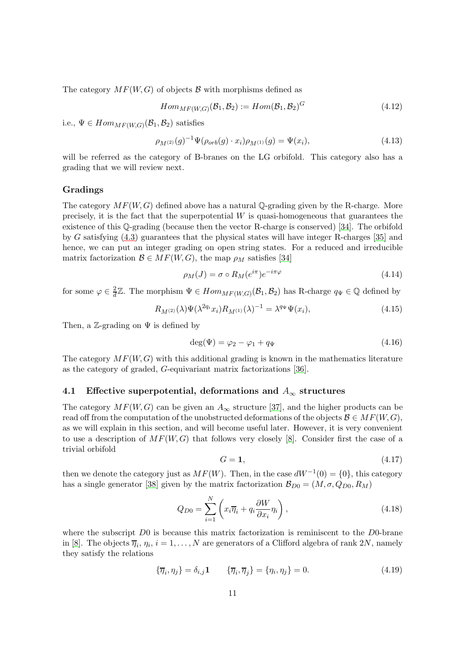The category  $MF(W, G)$  of objects  $\beta$  with morphisms defined as

$$
Hom_{MF(W,G)}(\mathcal{B}_1, \mathcal{B}_2) := Hom(\mathcal{B}_1, \mathcal{B}_2)^G
$$
\n
$$
(4.12)
$$

i.e.,  $\Psi \in Hom_{MF(W,G)}(\mathcal{B}_1, \mathcal{B}_2)$  satisfies

$$
\rho_{M^{(2)}}(g)^{-1}\Psi(\rho_{orb}(g)\cdot x_i)\rho_{M^{(1)}}(g) = \Psi(x_i),\tag{4.13}
$$

will be referred as the category of B-branes on the LG orbifold. This category also has a grading that we will review next.

#### Gradings

The category  $MF(W, G)$  defined above has a natural Q-grading given by the R-charge. More precisely, it is the fact that the superpotential  $W$  is quasi-homogeneous that guarantees the existence of this Q-grading (because then the vector R-charge is conserved) [\[34\]](#page-34-7). The orbifold by G satisfying [\(4.3\)](#page-9-1) guarantees that the physical states will have integer R-charges [\[35\]](#page-34-8) and hence, we can put an integer grading on open string states. For a reduced and irreducible matrix factorization  $\mathcal{B} \in MF(W, G)$ , the map  $\rho_M$  satisfies [\[34\]](#page-34-7)

$$
\rho_M(J) = \sigma \circ R_M(e^{i\pi})e^{-i\pi\varphi} \tag{4.14}
$$

for some  $\varphi \in \frac{2}{d}\mathbb{Z}$ . The morphism  $\Psi \in Hom_{MF(W,G)}(\mathcal{B}_1,\mathcal{B}_2)$  has R-charge  $q_{\Psi} \in \mathbb{Q}$  defined by

$$
R_{M^{(2)}}(\lambda)\Psi(\lambda^{2q_i}x_i)R_{M^{(1)}}(\lambda)^{-1} = \lambda^{q_\Psi}\Psi(x_i),\tag{4.15}
$$

Then, a Z-grading on  $\Psi$  is defined by

$$
\deg(\Psi) = \varphi_2 - \varphi_1 + q_\Psi \tag{4.16}
$$

The category  $MF(W, G)$  with this additional grading is known in the mathematics literature as the category of graded, G-equivariant matrix factorizations [\[36\]](#page-34-9).

#### <span id="page-10-0"></span>4.1 Effective superpotential, deformations and  $A_{\infty}$  structures

The category  $MF(W, G)$  can be given an  $A_{\infty}$  structure [\[37\]](#page-34-10), and the higher products can be read off from the computation of the unobstructed deformations of the objects  $\mathcal{B} \in MF(W, G)$ , as we will explain in this section, and will become useful later. However, it is very convenient to use a description of  $MF(W, G)$  that follows very closely [\[8\]](#page-33-1). Consider first the case of a trivial orbifold

$$
G = 1,\tag{4.17}
$$

then we denote the category just as  $MF(W)$ . Then, in the case  $dW^{-1}(0) = \{0\}$ , this category has a single generator [\[38\]](#page-34-11) given by the matrix factorization  $\mathcal{B}_{D0} = (M, \sigma, Q_{D0}, R_M)$ 

<span id="page-10-1"></span>
$$
Q_{D0} = \sum_{i=1}^{N} \left( x_i \overline{\eta}_i + q_i \frac{\partial W}{\partial x_i} \eta_i \right), \qquad (4.18)
$$

where the subscript  $D0$  is because this matrix factorization is reminiscent to the  $D0$ -brane in [\[8\]](#page-33-1). The objects  $\overline{\eta}_i$ ,  $\eta_i$ ,  $i = 1, ..., N$  are generators of a Clifford algebra of rank  $2N$ , namely they satisfy the relations

$$
\{\overline{\eta}_i, \eta_j\} = \delta_{i,j} \mathbf{1} \qquad \{\overline{\eta}_i, \overline{\eta}_j\} = \{\eta_i, \eta_j\} = 0. \tag{4.19}
$$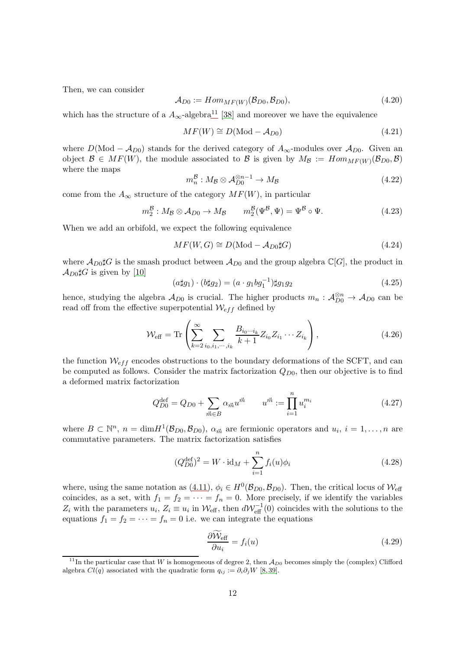Then, we can consider

$$
\mathcal{A}_{D0} := Hom_{MF(W)}(\mathcal{B}_{D0}, \mathcal{B}_{D0}),\tag{4.20}
$$

which has the structure of a  $A_{\infty}$ -algebra<sup>[11](#page-11-0)</sup> [\[38\]](#page-34-11) and moreover we have the equivalence

$$
MF(W) \cong D(\text{Mod} - A_{D0}) \tag{4.21}
$$

where  $D(\text{Mod} - A_{D0})$  stands for the derived category of  $A_{\infty}$ -modules over  $A_{D0}$ . Given an object  $\mathcal{B} \in MF(W)$ , the module associated to  $\mathcal{B}$  is given by  $M_{\mathcal{B}} := Hom_{MF(W)}(\mathcal{B}_{D0}, \mathcal{B})$ where the maps

<span id="page-11-1"></span>
$$
m_n^{\mathcal{B}} : M_{\mathcal{B}} \otimes \mathcal{A}_{D0}^{\otimes n-1} \to M_{\mathcal{B}} \tag{4.22}
$$

come from the  $A_{\infty}$  structure of the category  $MF(W)$ , in particular

$$
m_2^{\mathcal{B}} : M_{\mathcal{B}} \otimes \mathcal{A}_{D0} \to M_{\mathcal{B}} \qquad m_2^{\mathcal{B}}(\Psi^{\mathcal{B}}, \Psi) = \Psi^{\mathcal{B}} \circ \Psi.
$$
 (4.23)

When we add an orbifold, we expect the following equivalence

$$
MF(W, G) \cong D(\text{Mod} - \mathcal{A}_{D0}\sharp G) \tag{4.24}
$$

where  $\mathcal{A}_{D0\sharp}G$  is the smash product between  $\mathcal{A}_{D0}$  and the group algebra  $\mathbb{C}[G]$ , the product in  $\mathcal{A}_{D0}$ to is given by [\[10\]](#page-33-3)

$$
(a \sharp g_1) \cdot (b \sharp g_2) = (a \cdot g_1 b g_1^{-1}) \sharp g_1 g_2 \tag{4.25}
$$

hence, studying the algebra  $\mathcal{A}_{D0}$  is crucial. The higher products  $m_n$  :  $\mathcal{A}_{D0}^{\otimes n} \to \mathcal{A}_{D0}$  can be read off from the effective superpotential  $W_{eff}$  defined by

$$
\mathcal{W}_{\text{eff}} = \text{Tr}\left(\sum_{k=2}^{\infty} \sum_{i_0, i_1, \cdots, i_k} \frac{B_{i_0 \cdots i_k}}{k+1} Z_{i_0} Z_{i_1} \cdots Z_{i_k}\right),\tag{4.26}
$$

the function  $\mathcal{W}_{eff}$  encodes obstructions to the boundary deformations of the SCFT, and can be computed as follows. Consider the matrix factorization  $Q_{D0}$ , then our objective is to find a deformed matrix factorization

$$
Q_{D0}^{\text{def}} = Q_{D0} + \sum_{\vec{m} \in B} \alpha_{\vec{m}} u^{\vec{m}} \qquad u^{\vec{m}} := \prod_{i=1}^{n} u_i^{m_i}
$$
(4.27)

where  $B \subset \mathbb{N}^n$ ,  $n = \dim H^1(\mathcal{B}_{D0}, \mathcal{B}_{D0})$ ,  $\alpha_{\vec{m}}$  are fermionic operators and  $u_i$ ,  $i = 1, \ldots, n$  are commutative parameters. The matrix factorization satisfies

$$
(Q_{D0}^{\text{def}})^2 = W \cdot \text{id}_M + \sum_{i=1}^n f_i(u)\phi_i \tag{4.28}
$$

where, using the same notation as [\(4.11\)](#page-9-2),  $\phi_i \in H^0(\mathcal{B}_{D0}, \mathcal{B}_{D0})$ . Then, the critical locus of  $\mathcal{W}_{\text{eff}}$ coincides, as a set, with  $f_1 = f_2 = \cdots = f_n = 0$ . More precisely, if we identify the variables  $Z_i$  with the parameters  $u_i$ ,  $Z_i \equiv u_i$  in  $\mathcal{W}_{\text{eff}}$ , then  $d\mathcal{W}_{\text{eff}}^{-1}(0)$  coincides with the solutions to the equations  $f_1 = f_2 = \cdots = f_n = 0$  i.e. we can integrate the equations

$$
\frac{\partial \mathcal{W}_{\text{eff}}}{\partial u_i} = f_i(u) \tag{4.29}
$$

<span id="page-11-0"></span><sup>&</sup>lt;sup>11</sup>In the particular case that W is homogeneous of degree 2, then  $\mathcal{A}_{D0}$  becomes simply the (complex) Clifford algebra  $Cl(q)$  associated with the quadratic form  $q_{ij} := \partial_i \partial_j W$  [\[8,](#page-33-1)39].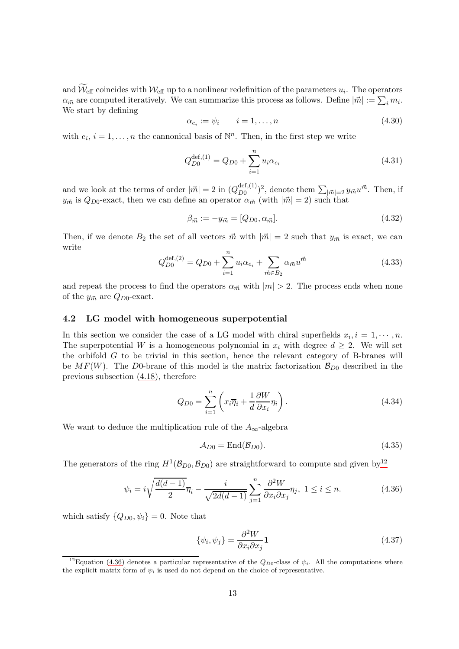and  $\mathcal{W}_{\text{eff}}$  coincides with  $\mathcal{W}_{\text{eff}}$  up to a nonlinear redefinition of the parameters  $u_i$ . The operators  $\alpha_{\vec{m}}$  are computed iteratively. We can summarize this process as follows. Define  $|\vec{m}| := \sum_i m_i$ . We start by defining

$$
\alpha_{e_i} := \psi_i \qquad i = 1, \dots, n \tag{4.30}
$$

with  $e_i$ ,  $i = 1, ..., n$  the cannonical basis of  $\mathbb{N}^n$ . Then, in the first step we write

$$
Q_{D0}^{\text{def},(1)} = Q_{D0} + \sum_{i=1}^{n} u_i \alpha_{e_i}
$$
\n(4.31)

and we look at the terms of order  $|\vec{m}| = 2$  in  $(Q_{D0}^{\text{def},(1)})$  $_{D0}^{\text{def},(1)})^2$ , denote them  $\sum_{|\vec{m}|=2} y_{\vec{m}} u^{\vec{m}}$ . Then, if  $y_{\vec{m}}$  is  $Q_{D0}$ -exact, then we can define an operator  $\alpha_{\vec{m}}$  (with  $|\vec{m}| = 2$ ) such that

$$
\beta_{\vec{m}} := -y_{\vec{m}} = [Q_{D0}, \alpha_{\vec{m}}]. \tag{4.32}
$$

Then, if we denote  $B_2$  the set of all vectors  $\vec{m}$  with  $|\vec{m}| = 2$  such that  $y_{\vec{m}}$  is exact, we can write

$$
Q_{D0}^{\text{def},(2)} = Q_{D0} + \sum_{i=1}^{n} u_i \alpha_{e_i} + \sum_{\vec{m} \in B_2} \alpha_{\vec{m}} u^{\vec{m}}
$$
(4.33)

and repeat the process to find the operators  $\alpha_{\vec{m}}$  with  $|m| > 2$ . The process ends when none of the  $y_{\vec{m}}$  are  $Q_{D0}$ -exact.

#### <span id="page-12-0"></span>4.2 LG model with homogeneous superpotential

In this section we consider the case of a LG model with chiral superfields  $x_i, i = 1, \dots, n$ . The superpotential W is a homogeneous polynomial in  $x_i$  with degree  $d \geq 2$ . We will set the orbifold  $G$  to be trivial in this section, hence the relevant category of B-branes will be  $MF(W)$ . The D0-brane of this model is the matrix factorization  $\mathcal{B}_{D0}$  described in the previous subsection [\(4.18\)](#page-10-1), therefore

<span id="page-12-4"></span>
$$
Q_{D0} = \sum_{i=1}^{n} \left( x_i \overline{\eta}_i + \frac{1}{d} \frac{\partial W}{\partial x_i} \eta_i \right).
$$
 (4.34)

We want to deduce the multiplication rule of the  $A_{\infty}$ -algebra

$$
\mathcal{A}_{D0} = \text{End}(\mathcal{B}_{D0}).\tag{4.35}
$$

The generators of the ring  $H^1(\mathcal{B}_{D0}, \mathcal{B}_{D0})$  are straightforward to compute and given by<sup>[12](#page-12-1)</sup>

<span id="page-12-2"></span>
$$
\psi_i = i\sqrt{\frac{d(d-1)}{2}}\overline{\eta}_i - \frac{i}{\sqrt{2d(d-1)}}\sum_{j=1}^n \frac{\partial^2 W}{\partial x_i \partial x_j}\eta_j, \ 1 \le i \le n. \tag{4.36}
$$

which satisfy  $\{Q_{D0}, \psi_i\} = 0$ . Note that

<span id="page-12-3"></span>
$$
\{\psi_i, \psi_j\} = \frac{\partial^2 W}{\partial x_i \partial x_j} \mathbf{1}
$$
\n(4.37)

<span id="page-12-1"></span><sup>&</sup>lt;sup>12</sup>Equation [\(4.36\)](#page-12-2) denotes a particular representative of the  $Q_{D0}$ -class of  $\psi_i$ . All the computations where the explicit matrix form of  $\psi_i$  is used do not depend on the choice of representative.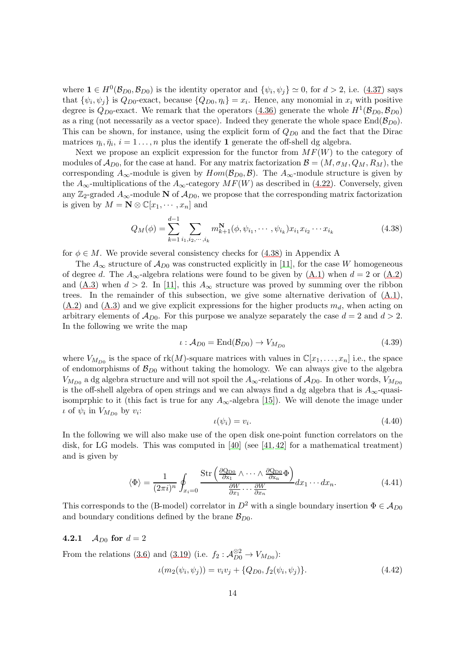where  $\mathbf{1} \in H^0(\mathcal{B}_{D0}, \mathcal{B}_{D0})$  is the identity operator and  $\{\psi_i, \psi_j\} \simeq 0$ , for  $d > 2$ , i.e. [\(4.37\)](#page-12-3) says that  $\{\psi_i, \psi_j\}$  is  $Q_{D0}$ -exact, because  $\{Q_{D0}, \eta_i\} = x_i$ . Hence, any monomial in  $x_i$  with positive degree is  $Q_{D0}$ -exact. We remark that the operators [\(4.36\)](#page-12-2) generate the whole  $H^1(\mathcal{B}_{D0}, \mathcal{B}_{D0})$ as a ring (not necessarily as a vector space). Indeed they generate the whole space  $\text{End}(\mathcal{B}_{D0})$ . This can be shown, for instance, using the explicit form of  $Q_{D0}$  and the fact that the Dirac matrices  $\eta_i, \bar{\eta}_i, i = 1 \ldots, n$  plus the identify 1 generate the off-shell dg algebra.

Next we propose an explicit expression for the functor from  $MF(W)$  to the category of modules of  $\mathcal{A}_{D0}$ , for the case at hand. For any matrix factorization  $\mathcal{B} = (M, \sigma_M, Q_M, R_M)$ , the corresponding  $A_{\infty}$ -module is given by  $Hom(\mathcal{B}_{D_0}, \mathcal{B})$ . The  $A_{\infty}$ -module structure is given by the  $A_{\infty}$ -multiplications of the  $A_{\infty}$ -category  $MF(W)$  as described in [\(4.22\)](#page-11-1). Conversely, given any Z<sub>2</sub>-graded  $A_{\infty}$ -module N of  $A_{D0}$ , we propose that the corresponding matrix factorization is given by  $M = \mathbf{N} \otimes \mathbb{C}[x_1, \dots, x_n]$  and

<span id="page-13-1"></span>
$$
Q_M(\phi) = \sum_{k=1}^{d-1} \sum_{i_1, i_2, \cdots, i_k} m_{k+1}^N(\phi, \psi_{i_1}, \cdots, \psi_{i_k}) x_{i_1} x_{i_2} \cdots x_{i_k}
$$
(4.38)

for  $\phi \in M$ . We provide several consistency checks for [\(4.38\)](#page-13-1) in Appendix A

The  $A_{\infty}$  structure of  $A_{D0}$  was constructed explicitly in [\[11\]](#page-33-4), for the case W homogeneous of degree d. The  $A_{\infty}$ -algebra relations were found to be given by [\(A.1\)](#page-27-1) when  $d = 2$  or [\(A.2\)](#page-27-2) and [\(A.3\)](#page-27-3) when  $d > 2$ . In [\[11\]](#page-33-4), this  $A_{\infty}$  structure was proved by summing over the ribbon trees. In the remainder of this subsection, we give some alternative derivation of  $(A.1)$ ,  $(A.2)$  and  $(A.3)$  and we give explicit expressions for the higher products  $m_d$ , when acting on arbitrary elements of  $\mathcal{A}_{D0}$ . For this purpose we analyze separately the case  $d = 2$  and  $d > 2$ . In the following we write the map

$$
\iota: \mathcal{A}_{D0} = \text{End}(\mathcal{B}_{D0}) \to V_{M_{D0}} \tag{4.39}
$$

where  $V_{M_{D0}}$  is the space of rk(M)-square matrices with values in  $\mathbb{C}[x_1,\ldots,x_n]$  i.e., the space of endomorphisms of  $\mathcal{B}_{D0}$  without taking the homology. We can always give to the algebra  $V_{M_{D0}}$  a dg algebra structure and will not spoil the  $A_{\infty}$ -relations of  $\mathcal{A}_{D0}$ . In other words,  $V_{M_{D0}}$ is the off-shell algebra of open strings and we can always find a dg algebra that is  $A_{\infty}$ -quasiisomprphic to it (this fact is true for any  $A_{\infty}$ -algebra [\[15\]](#page-33-7)). We will denote the image under  $\iota$  of  $\psi_i$  in  $V_{M_{D0}}$  by  $v_i$ :

$$
\iota(\psi_i) = v_i. \tag{4.40}
$$

In the following we will also make use of the open disk one-point function correlators on the disk, for LG models. This was computed in [\[40\]](#page-34-13) (see [\[41,](#page-35-0) [42\]](#page-35-1) for a mathematical treatment) and is given by

<span id="page-13-2"></span>
$$
\langle \Phi \rangle = \frac{1}{(2\pi i)^n} \oint_{x_i=0} \frac{\text{Str}\left(\frac{\partial Q_{\text{D}0}}{\partial x_1} \wedge \dots \wedge \frac{\partial Q_{\text{D}0}}{\partial x_n} \Phi\right)}{\frac{\partial W}{\partial x_1} \dots \frac{\partial W}{\partial x_n}} dx_1 \dots dx_n.
$$
 (4.41)

This corresponds to the (B-model) correlator in  $D^2$  with a single boundary insertion  $\Phi \in A_{D0}$ and boundary conditions defined by the brane  $\mathcal{B}_{D0}$ .

#### <span id="page-13-0"></span>4.2.1  $A_{D0}$  for  $d = 2$

From the relations [\(3.6\)](#page-5-0) and [\(3.19\)](#page-6-3) (i.e.  $f_2: \mathcal{A}_{D0}^{\otimes 2} \to V_{M_{D0}}$ ):  $u(m_2(\psi_i, \psi_j)) = v_i v_j + \{Q_{D0}, f_2(\psi_i, \psi_j)\}.$  (4.42)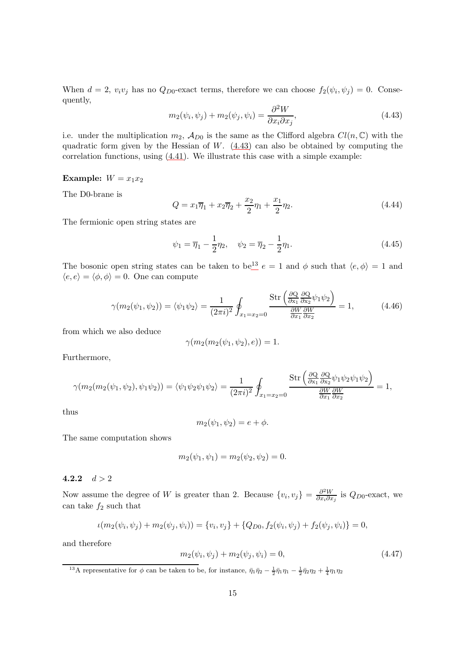When  $d = 2$ ,  $v_i v_j$  has no  $Q_{D0}$ -exact terms, therefore we can choose  $f_2(\psi_i, \psi_j) = 0$ . Consequently,

<span id="page-14-1"></span>
$$
m_2(\psi_i, \psi_j) + m_2(\psi_j, \psi_i) = \frac{\partial^2 W}{\partial x_i \partial x_j},\tag{4.43}
$$

i.e. under the multiplication  $m_2$ ,  $\mathcal{A}_{D0}$  is the same as the Clifford algebra  $Cl(n,\mathbb{C})$  with the quadratic form given by the Hessian of  $W$ .  $(4.43)$  can also be obtained by computing the correlation functions, using [\(4.41\)](#page-13-2). We illustrate this case with a simple example:

#### Example:  $W = x_1 x_2$

The D0-brane is

$$
Q = x_1 \overline{\eta}_1 + x_2 \overline{\eta}_2 + \frac{x_2}{2} \eta_1 + \frac{x_1}{2} \eta_2.
$$
 (4.44)

The fermionic open string states are

$$
\psi_1 = \overline{\eta}_1 - \frac{1}{2}\eta_2, \quad \psi_2 = \overline{\eta}_2 - \frac{1}{2}\eta_1.
$$
\n(4.45)

The bosonic open string states can be taken to be<sup>[13](#page-14-2)</sup>  $e = 1$  and  $\phi$  such that  $\langle e, \phi \rangle = 1$  and  $\langle e, e \rangle = \langle \phi, \phi \rangle = 0$ . One can compute

$$
\gamma(m_2(\psi_1, \psi_2)) = \langle \psi_1 \psi_2 \rangle = \frac{1}{(2\pi i)^2} \oint_{x_1 = x_2 = 0} \frac{\text{Str}\left(\frac{\partial Q}{\partial x_1} \frac{\partial Q}{\partial x_2} \psi_1 \psi_2\right)}{\frac{\partial W}{\partial x_1} \frac{\partial W}{\partial x_2}} = 1, \quad (4.46)
$$

from which we also deduce

$$
\gamma(m_2(m_2(\psi_1, \psi_2), e)) = 1.
$$

Furthermore,

$$
\gamma(m_2(m_2(\psi_1, \psi_2), \psi_1\psi_2)) = \langle \psi_1\psi_2\psi_1\psi_2 \rangle = \frac{1}{(2\pi i)^2} \oint_{x_1=x_2=0} \frac{\text{Str}\left(\frac{\partial Q}{\partial x_1} \frac{\partial Q}{\partial x_2} \psi_1\psi_2\psi_1\psi_2\right)}{\frac{\partial W}{\partial x_1} \frac{\partial W}{\partial x_2}} = 1,
$$

thus

$$
m_2(\psi_1, \psi_2) = e + \phi.
$$

The same computation shows

$$
m_2(\psi_1, \psi_1) = m_2(\psi_2, \psi_2) = 0.
$$

<span id="page-14-0"></span>4.2.2  $d > 2$ 

Now assume the degree of W is greater than 2. Because  $\{v_i, v_j\} = \frac{\partial^2 W}{\partial x_i \partial x_j}$  $\frac{\partial^2 W}{\partial x_i \partial x_j}$  is  $Q_{D0}$ -exact, we can take  $f_2$  such that

$$
\iota(m_2(\psi_i, \psi_j) + m_2(\psi_j, \psi_i)) = \{v_i, v_j\} + \{Q_{D0}, f_2(\psi_i, \psi_j) + f_2(\psi_j, \psi_i)\} = 0,
$$

and therefore

<span id="page-14-3"></span>
$$
m_2(\psi_i, \psi_j) + m_2(\psi_j, \psi_i) = 0,
$$
\n(4.47)

<span id="page-14-2"></span><sup>13</sup>A representative for  $\phi$  can be taken to be, for instance,  $\bar{\eta}_1 \bar{\eta}_2 - \frac{1}{2} \bar{\eta}_1 \eta_1 - \frac{1}{2} \bar{\eta}_2 \eta_2 + \frac{1}{4} \eta_1 \eta_2$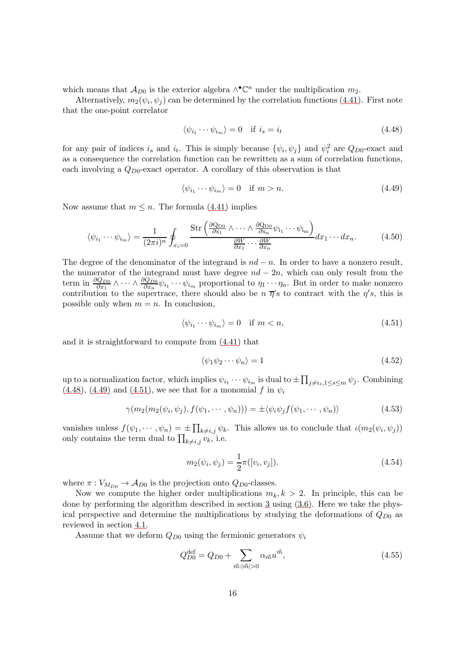which means that  $\mathcal{A}_{D0}$  is the exterior algebra  $\wedge^{\bullet} \mathbb{C}^n$  under the multiplication  $m_2$ .

Alternatively,  $m_2(\psi_i, \psi_j)$  can be determined by the correlation functions [\(4.41\)](#page-13-2). First note that the one-point correlator

<span id="page-15-0"></span>
$$
\langle \psi_{i_1} \cdots \psi_{i_m} \rangle = 0 \quad \text{if } i_s = i_t \tag{4.48}
$$

for any pair of indices  $i_s$  and  $i_t$ . This is simply because  $\{\psi_i, \psi_j\}$  and  $\psi_i^2$  are  $Q_{D0}$ -exact and as a consequence the correlation function can be rewritten as a sum of correlation functions, each involving a  $Q_{D0}$ -exact operator. A corollary of this observation is that

<span id="page-15-1"></span>
$$
\langle \psi_{i_1} \cdots \psi_{i_m} \rangle = 0 \quad \text{if } m > n. \tag{4.49}
$$

Now assume that  $m \leq n$ . The formula [\(4.41\)](#page-13-2) implies

$$
\langle \psi_{i_1} \cdots \psi_{i_m} \rangle = \frac{1}{(2\pi i)^n} \oint_{x_i=0} \frac{\text{Str}\left(\frac{\partial \text{Q}_{D0}}{\partial x_1} \wedge \cdots \wedge \frac{\partial \text{Q}_{D0}}{\partial x_n} \psi_{i_1} \cdots \psi_{i_m}\right)}{\frac{\partial W}{\partial x_1} \cdots \frac{\partial W}{\partial x_n}} dx_1 \cdots dx_n.
$$
 (4.50)

The degree of the denominator of the integrand is  $nd - n$ . In order to have a nonzero result, the numerator of the integrand must have degree  $nd - 2n$ , which can only result from the term in  $\frac{\partial Q_{D0}}{\partial x_1} \wedge \cdots \wedge \frac{\partial Q_{D0}}{\partial x_n} \psi_{i_1} \cdots \psi_{i_m}$  proportional to  $\eta_1 \cdots \eta_n$ . But in order to make nonzero contribution to the supertrace, there should also be  $n \overrightarrow{\eta}$ 's to contract with the  $\eta's$ , this is possible only when  $m = n$ . In conclusion,

<span id="page-15-2"></span>
$$
\langle \psi_{i_1} \cdots \psi_{i_m} \rangle = 0 \quad \text{if } m < n,\tag{4.51}
$$

and it is straightforward to compute from [\(4.41\)](#page-13-2) that

<span id="page-15-3"></span>
$$
\langle \psi_1 \psi_2 \cdots \psi_n \rangle = 1 \tag{4.52}
$$

up to a normalization factor, which implies  $\psi_{i_1}\cdots\psi_{i_m}$  is dual to  $\pm \prod_{j\neq i_s,1\leq s\leq m}\psi_j$ . Combining  $(4.48)$ ,  $(4.49)$  and  $(4.51)$ , we see that for a monomial f in  $\psi_i$ 

$$
\gamma(m_2(m_2(\psi_i, \psi_j), f(\psi_1, \cdots, \psi_n))) = \pm \langle \psi_i \psi_j f(\psi_1, \cdots, \psi_n) \rangle \tag{4.53}
$$

vanishes unless  $f(\psi_1,\dots,\psi_n) = \pm \prod_{k\neq i,j} \psi_k$ . This allows us to conclude that  $\iota(m_2(\psi_i,\psi_j))$ only contains the term dual to  $\prod_{k\neq i,j} v_k$ , i.e.

$$
m_2(\psi_i, \psi_j) = \frac{1}{2}\pi([v_i, v_j]).
$$
\n(4.54)

where  $\pi: V_{M_{D0}} \to \mathcal{A}_{D0}$  is the projection onto  $Q_{D0}$ -classes.

Now we compute the higher order multiplications  $m_k, k > 2$ . In principle, this can be done by performing the algorithm described in section [3](#page-4-0) using [\(3.6\)](#page-5-0). Here we take the physical perspective and determine the multiplications by studying the deformations of  $Q_{D0}$  as reviewed in section [4.1.](#page-10-0)

Assume that we deform  $Q_{D0}$  using the fermionic generators  $\psi_i$ 

<span id="page-15-4"></span>
$$
Q_{D0}^{\text{def}} = Q_{D0} + \sum_{\vec{m}:|\vec{m}|>0} \alpha_{\vec{m}} u^{\vec{m}}, \tag{4.55}
$$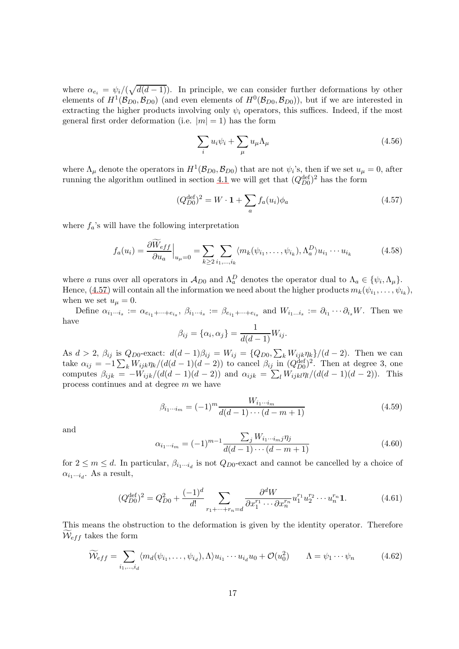where  $\alpha_{e_i} = \psi_i/(\sqrt{d(d-1)})$ . In principle, we can consider further deformations by other elements of  $H^1(\mathcal{B}_{D0}, \mathcal{B}_{D0})$  (and even elements of  $H^0(\mathcal{B}_{D0}, \mathcal{B}_{D0})$ ), but if we are interested in extracting the higher products involving only  $\psi_i$  operators, this suffices. Indeed, if the most general first order deformation (i.e.  $|m| = 1$ ) has the form

$$
\sum_{i} u_i \psi_i + \sum_{\mu} u_{\mu} \Lambda_{\mu} \tag{4.56}
$$

where  $\Lambda_{\mu}$  denote the operators in  $H^{1}(\mathcal{B}_{D0}, \mathcal{B}_{D0})$  that are not  $\psi_i$ 's, then if we set  $u_{\mu} = 0$ , after running the algorithm outlined in section [4.1](#page-10-0) we will get that  $(Q_{D0}^{\text{def}})^2$  has the form

<span id="page-16-0"></span>
$$
(Q_{D0}^{\text{def}})^2 = W \cdot \mathbf{1} + \sum_{a} f_a(u_i)\phi_a \tag{4.57}
$$

where  $f_a$ 's will have the following interpretation

$$
f_a(u_i) = \frac{\partial \tilde{W}_{eff}}{\partial u_a}\Big|_{u_\mu=0} = \sum_{k \ge 2} \sum_{i_1, ..., i_k} \langle m_k(\psi_{i_1}, ..., \psi_{i_k}), \Lambda_a^D \rangle u_{i_1} \cdots u_{i_k}
$$
(4.58)

where a runs over all operators in  $\mathcal{A}_{D0}$  and  $\Lambda_a^D$  denotes the operator dual to  $\Lambda_a \in \{\psi_i, \Lambda_\mu\}.$ Hence, [\(4.57\)](#page-16-0) will contain all the information we need about the higher products  $m_k(\psi_{i_1}, \ldots, \psi_{i_k}),$ when we set  $u_{\mu}=0$ .

Define  $\alpha_{i_1\cdots i_s} := \alpha_{e_{i_1}+\cdots+e_{i_s}}, \ \beta_{i_1\cdots i_s} := \beta_{e_{i_1}+\cdots+e_{i_s}}$  and  $W_{i_1\cdots i_s} := \partial_{i_1}\cdots\partial_{i_s}W$ . Then we have

$$
\beta_{ij} = {\alpha_i, \alpha_j} = \frac{1}{d(d-1)} W_{ij}.
$$

As  $d > 2$ ,  $\beta_{ij}$  is  $Q_{D0}$ -exact:  $d(d-1)\beta_{ij} = W_{ij} = \{Q_{D0}, \sum_k W_{ijk}\eta_k\}/(d-2)$ . Then we can take  $\alpha_{ij} = -1 \sum_k W_{ijk} \eta_k / (d(d-1)(d-2))$  to cancel  $\beta_{ij}$  in  $(Q_{D0}^{\text{def}})^2$ . Then at degree 3, one computes  $\beta_{ijk} = -W_{ijk}/(d(d-1)(d-2))$  and  $\alpha_{ijk} = \sum_l W_{ijkl} \eta_l/(d(d-1)(d-2))$ . This process continues and at degree m we have

$$
\beta_{i_1\cdots i_m} = (-1)^m \frac{W_{i_1\cdots i_m}}{d(d-1)\cdots(d-m+1)}
$$
\n(4.59)

and

$$
\alpha_{i_1\cdots i_m} = (-1)^{m-1} \frac{\sum_j W_{i_1\cdots i_m j} \eta_j}{d(d-1)\cdots(d-m+1)}
$$
(4.60)

for  $2 \leq m \leq d$ . In particular,  $\beta_{i_1 \cdots i_d}$  is not  $Q_{D0}$ -exact and cannot be cancelled by a choice of  $\alpha_{i_1\cdots i_d}$ . As a result,

<span id="page-16-1"></span>
$$
(Q_{D0}^{\text{def}})^2 = Q_{D0}^2 + \frac{(-1)^d}{d!} \sum_{r_1 + \dots + r_n = d} \frac{\partial^d W}{\partial x_1^{r_1} \cdots \partial x_n^{r_n}} u_1^{r_1} u_2^{r_2} \cdots u_n^{r_n} \mathbf{1}.
$$
 (4.61)

This means the obstruction to the deformation is given by the identity operator. Therefore  $\mathcal{W}_{eff}$  takes the form

<span id="page-16-2"></span>
$$
\widetilde{\mathcal{W}}_{eff} = \sum_{i_1,\dots,i_d} \langle m_d(\psi_{i_1},\dots,\psi_{i_d}), \Lambda \rangle u_{i_1} \cdots u_{i_d} u_0 + \mathcal{O}(u_0^2) \qquad \Lambda = \psi_1 \cdots \psi_n \tag{4.62}
$$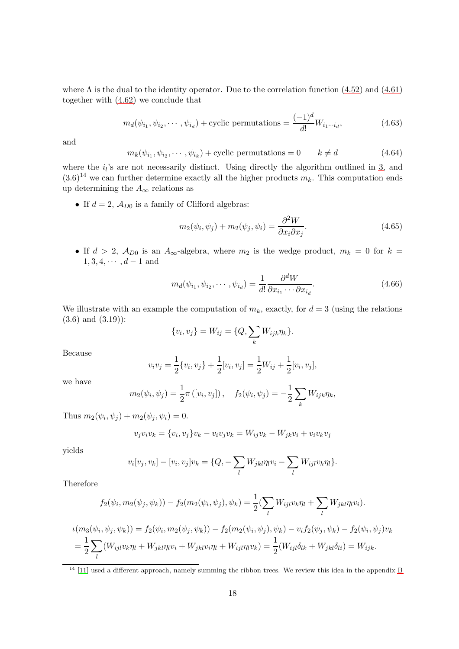where  $\Lambda$  is the dual to the identity operator. Due to the correlation function [\(4.52\)](#page-15-3) and [\(4.61\)](#page-16-1) together with [\(4.62\)](#page-16-2) we conclude that

$$
m_d(\psi_{i_1}, \psi_{i_2}, \cdots, \psi_{i_d}) + \text{cyclic permutations} = \frac{(-1)^d}{d!} W_{i_1 \cdots i_d},\tag{4.63}
$$

and

$$
m_k(\psi_{i_1}, \psi_{i_2}, \cdots, \psi_{i_k}) + \text{cyclic permutations} = 0 \qquad k \neq d \tag{4.64}
$$

where the  $i_l$ 's are not necessarily distinct. Using directly the algorithm outlined in [3,](#page-4-0) and  $(3.6)^{14}$  $(3.6)^{14}$  $(3.6)^{14}$  $(3.6)^{14}$  we can further determine exactly all the higher products  $m_k$ . This computation ends up determining the  $A_{\infty}$  relations as

• If  $d = 2$ ,  $\mathcal{A}_{D0}$  is a family of Clifford algebras:

<span id="page-17-0"></span>
$$
m_2(\psi_i, \psi_j) + m_2(\psi_j, \psi_i) = \frac{\partial^2 W}{\partial x_i \partial x_j}.
$$
\n(4.65)

• If  $d > 2$ ,  $\mathcal{A}_{D0}$  is an  $A_{\infty}$ -algebra, where  $m_2$  is the wedge product,  $m_k = 0$  for  $k =$  $1, 3, 4, \cdots, d-1$  and

<span id="page-17-1"></span>
$$
m_d(\psi_{i_1}, \psi_{i_2}, \cdots, \psi_{i_d}) = \frac{1}{d!} \frac{\partial^d W}{\partial x_{i_1} \cdots \partial x_{i_d}}.
$$
\n(4.66)

We illustrate with an example the computation of  $m_k$ , exactly, for  $d = 3$  (using the relations [\(3.6\)](#page-5-0) and [\(3.19\)](#page-6-3)):

$$
\{v_i, v_j\} = W_{ij} = \{Q, \sum_k W_{ijk} \eta_k\}.
$$

Because

$$
v_i v_j = \frac{1}{2} \{v_i, v_j\} + \frac{1}{2} [v_i, v_j] = \frac{1}{2} W_{ij} + \frac{1}{2} [v_i, v_j],
$$

we have

$$
m_2(\psi_i, \psi_j) = \frac{1}{2}\pi ([v_i, v_j]), \quad f_2(\psi_i, \psi_j) = -\frac{1}{2}\sum_k W_{ijk}\eta_k,
$$

Thus  $m_2(\psi_i, \psi_j) + m_2(\psi_j, \psi_i) = 0.$ 

$$
v_j v_i v_k = \{v_i, v_j\} v_k - v_i v_j v_k = W_{ij} v_k - W_{jk} v_i + v_i v_k v_j
$$

yields

$$
v_i[v_j, v_k] - [v_i, v_j]v_k = \{Q, -\sum_l W_{jkl}\eta_l v_i - \sum_l W_{ijl}v_k\eta_l\}.
$$

Therefore

$$
f_2(\psi_i, m_2(\psi_j, \psi_k)) - f_2(m_2(\psi_i, \psi_j), \psi_k) = \frac{1}{2} \left( \sum_l W_{ijl} v_k \eta_l + \sum_l W_{jkl} \eta_l v_i \right).
$$

$$
\iota(m_3(\psi_i, \psi_j, \psi_k)) = f_2(\psi_i, m_2(\psi_j, \psi_k)) - f_2(m_2(\psi_i, \psi_j), \psi_k) - v_i f_2(\psi_j, \psi_k) - f_2(\psi_i, \psi_j) v_k = \frac{1}{2} \sum_l (W_{ijl} v_k \eta_l + W_{jkl} \eta_l v_i + W_{jkl} v_i \eta_l + W_{ijl} \eta_l v_k) = \frac{1}{2} (W_{ijl} \delta_{lk} + W_{jkl} \delta_{li}) = W_{ijk}.
$$

<span id="page-17-2"></span> $14$  [\[11\]](#page-33-4) used a different approach, namely summing the ribbon trees. We review this idea in the appendix [B](#page-30-0)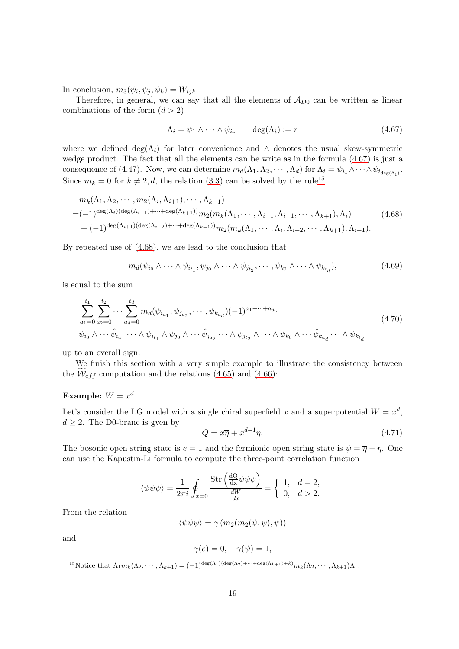In conclusion,  $m_3(\psi_i, \psi_j, \psi_k) = W_{ijk}$ .

Therefore, in general, we can say that all the elements of  $\mathcal{A}_{D0}$  can be written as linear combinations of the form  $(d > 2)$ 

<span id="page-18-2"></span>
$$
\Lambda_i = \psi_1 \wedge \dots \wedge \psi_{i_r} \qquad \deg(\Lambda_i) := r \tag{4.67}
$$

where we defined deg( $\Lambda_i$ ) for later convenience and  $\Lambda$  denotes the usual skew-symmetric wedge product. The fact that all the elements can be write as in the formula [\(4.67\)](#page-18-2) is just a consequence of [\(4.47\)](#page-14-3). Now, we can determine  $m_d(\Lambda_1, \Lambda_2, \cdots, \Lambda_d)$  for  $\Lambda_i = \psi_{i_1} \wedge \cdots \wedge \psi_{i_{\deg(\Lambda_i)}}$ . Since  $m_k = 0$  for  $k \neq 2, d$ , the relation [\(3.3\)](#page-4-3) can be solved by the rule<sup>[15](#page-18-3)</sup>

<span id="page-18-4"></span>
$$
m_k(\Lambda_1, \Lambda_2, \cdots, m_2(\Lambda_i, \Lambda_{i+1}), \cdots, \Lambda_{k+1})
$$
  
=  $(-1)^{\deg(\Lambda_i)(\deg(\Lambda_{i+1})+\cdots+\deg(\Lambda_{k+1}))} m_2(m_k(\Lambda_1, \cdots, \Lambda_{i-1}, \Lambda_{i+1}, \cdots, \Lambda_{k+1}), \Lambda_i)$  (4.68)  
+  $(-1)^{\deg(\Lambda_{i+1})(\deg(\Lambda_{i+2})+\cdots+\deg(\Lambda_{k+1}))} m_2(m_k(\Lambda_1, \cdots, \Lambda_i, \Lambda_{i+2}, \cdots, \Lambda_{k+1}), \Lambda_{i+1}).$ 

By repeated use of [\(4.68\)](#page-18-4), we are lead to the conclusion that

<span id="page-18-0"></span>
$$
m_d(\psi_{i_0} \wedge \cdots \wedge \psi_{i_{t_1}}, \psi_{j_0} \wedge \cdots \wedge \psi_{j_{t_2}}, \cdots, \psi_{k_0} \wedge \cdots \wedge \psi_{k_{t_d}}), \qquad (4.69)
$$

is equal to the sum

<span id="page-18-1"></span>
$$
\sum_{a_1=0}^{t_1} \sum_{a_2=0}^{t_2} \cdots \sum_{a_d=0}^{t_d} m_d(\psi_{i_{a_1}}, \psi_{j_{a_2}}, \cdots, \psi_{k_{a_d}}) (-1)^{a_1 + \cdots + a_d}.
$$
\n
$$
\psi_{i_0} \wedge \cdots \hat{\psi}_{i_{a_1}} \cdots \wedge \psi_{i_{t_1}} \wedge \psi_{j_0} \wedge \cdots \hat{\psi}_{j_{a_2}} \cdots \wedge \psi_{j_{t_2}} \wedge \cdots \wedge \psi_{k_0} \wedge \cdots \hat{\psi}_{k_{a_d}} \cdots \wedge \psi_{k_{t_d}}
$$
\n
$$
(4.70)
$$

up to an overall sign.

We finish this section with a very simple example to illustrate the consistency between the  $W_{eff}$  computation and the relations [\(4.65\)](#page-17-0) and [\(4.66\)](#page-17-1):

### Example:  $W = x^d$

Let's consider the LG model with a single chiral superfield x and a superpotential  $W = x^d$ ,  $d > 2$ . The D0-brane is gven by

<span id="page-18-5"></span>
$$
Q = x\overline{\eta} + x^{d-1}\eta. \tag{4.71}
$$

The bosonic open string state is  $e = 1$  and the fermionic open string state is  $\psi = \overline{\eta} - \eta$ . One can use the Kapustin-Li formula to compute the three-point correlation function

$$
\langle \psi \psi \psi \rangle = \frac{1}{2\pi i} \oint_{x=0} \frac{\text{Str}\left(\frac{dQ}{dx} \psi \psi \psi\right)}{\frac{dW}{dx}} = \begin{cases} 1, & d = 2, \\ 0, & d > 2. \end{cases}
$$

From the relation

$$
\langle \psi \psi \psi \rangle = \gamma \left( m_2(m_2(\psi, \psi), \psi) \right)
$$

and

$$
\gamma(e) = 0, \quad \gamma(\psi) = 1,
$$

<span id="page-18-3"></span><sup>15</sup>Notice that  $\Lambda_1m_k(\Lambda_2, \cdots, \Lambda_{k+1}) = (-1)^{\deg(\Lambda_1)(\deg(\Lambda_2)+\cdots+\deg(\Lambda_{k+1})+k)}m_k(\Lambda_2, \cdots, \Lambda_{k+1})\Lambda_1.$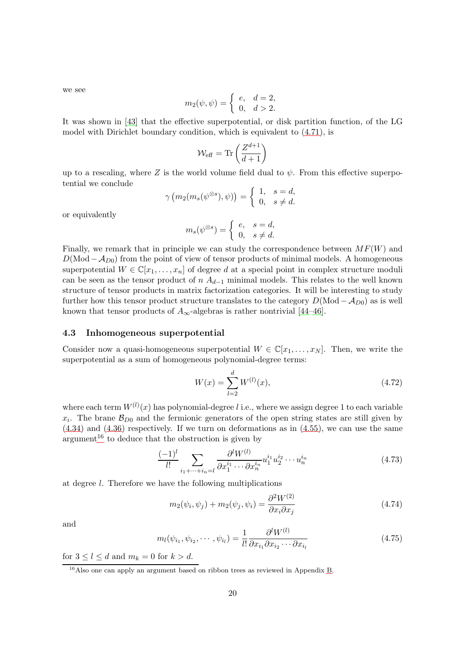we see

$$
m_2(\psi, \psi) = \begin{cases} e, & d = 2, \\ 0, & d > 2. \end{cases}
$$

It was shown in [\[43\]](#page-35-2) that the effective superpotential, or disk partition function, of the LG model with Dirichlet boundary condition, which is equivalent to [\(4.71\)](#page-18-5), is

$$
\mathcal{W}_{\text{eff}} = \text{Tr}\left(\frac{Z^{d+1}}{d+1}\right)
$$

up to a rescaling, where Z is the world volume field dual to  $\psi$ . From this effective superpotential we conclude

$$
\gamma(m_2(m_s(\psi^{\otimes s}), \psi)) = \begin{cases} 1, & s = d, \\ 0, & s \neq d. \end{cases}
$$

or equivalently

$$
m_s(\psi^{\otimes s})=\left\{\begin{array}{ll}e,& s=d,\\0,& s\neq d.\end{array}\right.
$$

Finally, we remark that in principle we can study the correspondence between  $MF(W)$  and  $D(\text{Mod}-\mathcal{A}_{D0})$  from the point of view of tensor products of minimal models. A homogeneous superpotential  $W \in \mathbb{C}[x_1,\ldots,x_n]$  of degree d at a special point in complex structure moduli can be seen as the tensor product of  $n A_{d-1}$  minimal models. This relates to the well known structure of tensor products in matrix factorization categories. It will be interesting to study further how this tensor product structure translates to the category  $D(\text{Mod} - A_{D0})$  as is well known that tensor products of  $A_{\infty}$ -algebras is rather nontrivial [\[44](#page-35-3)[–46\]](#page-35-4).

#### <span id="page-19-0"></span>4.3 Inhomogeneous superpotential

Consider now a quasi-homogeneous superpotential  $W \in \mathbb{C}[x_1, \ldots, x_N]$ . Then, we write the superpotential as a sum of homogeneous polynomial-degree terms:

$$
W(x) = \sum_{l=2}^{d} W^{(l)}(x),
$$
\n(4.72)

where each term  $W^{(l)}(x)$  has polynomial-degree l i.e., where we assign degree 1 to each variable  $x_i$ . The brane  $\mathcal{B}_{D0}$  and the fermionic generators of the open string states are still given by [\(4.34\)](#page-12-4) and [\(4.36\)](#page-12-2) respectively. If we turn on deformations as in [\(4.55\)](#page-15-4), we can use the same argument<sup>[16](#page-19-1)</sup> to deduce that the obstruction is given by

$$
\frac{(-1)^{l}}{l!} \sum_{i_1 + \dots + i_n = l} \frac{\partial^l W^{(l)}}{\partial x_1^{i_1} \cdots \partial x_n^{i_n}} u_1^{i_1} u_2^{i_2} \cdots u_n^{i_n}
$$
(4.73)

at degree l. Therefore we have the following multiplications

$$
m_2(\psi_i, \psi_j) + m_2(\psi_j, \psi_i) = \frac{\partial^2 W^{(2)}}{\partial x_i \partial x_j} \tag{4.74}
$$

and

$$
m_l(\psi_{i_1}, \psi_{i_2}, \cdots, \psi_{i_l}) = \frac{1}{l!} \frac{\partial^l W^{(l)}}{\partial x_{i_1} \partial x_{i_2} \cdots \partial x_{i_l}} \tag{4.75}
$$

for  $3 \leq l \leq d$  and  $m_k = 0$  for  $k > d$ .

<span id="page-19-1"></span><sup>&</sup>lt;sup>16</sup>Also one can apply an argument based on ribbon trees as reviewed in Appendix [B.](#page-30-0)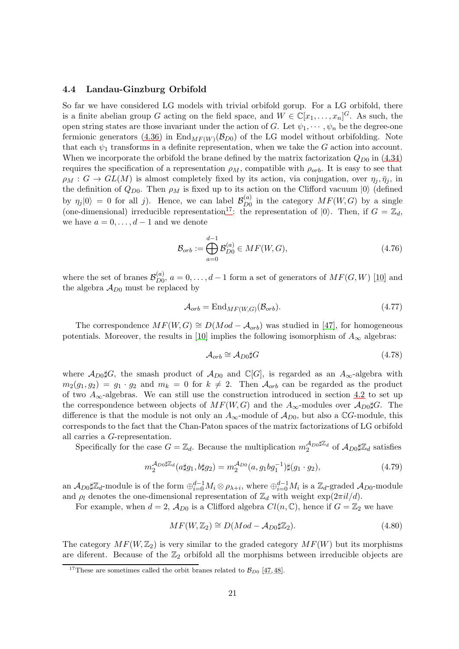#### <span id="page-20-0"></span>4.4 Landau-Ginzburg Orbifold

So far we have considered LG models with trivial orbifold gorup. For a LG orbifold, there is a finite abelian group G acting on the field space, and  $W \in \mathbb{C}[x_1,\ldots,x_n]^G$ . As such, the open string states are those invariant under the action of G. Let  $\psi_1, \dots, \psi_n$  be the degree-one fermionic generators [\(4.36\)](#page-12-2) in  $\text{End}_{MF(W)}(\mathcal{B}_{D0})$  of the LG model without orbifolding. Note that each  $\psi_1$  transforms in a definite representation, when we take the G action into account. When we incorporate the orbifold the brane defined by the matrix factorization  $Q_{D0}$  in [\(4.34\)](#page-12-4) requires the specification of a representation  $\rho_M$ , compatible with  $\rho_{orb}$ . It is easy to see that  $\rho_M$  :  $G \to GL(M)$  is almost completely fixed by its action, via conjugation, over  $\eta_j, \bar{\eta}_j$ , in the definition of  $Q_{D0}$ . Then  $\rho_M$  is fixed up to its action on the Clifford vacuum  $|0\rangle$  (defined by  $\eta_j |0\rangle = 0$  for all j). Hence, we can label  $\mathcal{B}_{D0}^{(a)}$  $_{D0}^{(a)}$  in the category  $MF(W, G)$  by a single (one-dimensional) irreducible representation<sup>[17](#page-20-1)</sup>: the representation of  $|0\rangle$ . Then, if  $G = \mathbb{Z}_d$ , we have  $a = 0, \ldots, d - 1$  and we denote

$$
\mathcal{B}_{orb} := \bigoplus_{a=0}^{d-1} \mathcal{B}_{D0}^{(a)} \in MF(W, G),\tag{4.76}
$$

where the set of branes  $\mathcal{B}_{D0}^{(a)}$  $D_{D0}^{(a)}$ ,  $a = 0, \ldots, d-1$  form a set of generators of  $MF(G, W)$  [\[10\]](#page-33-3) and the algebra  $A_{D0}$  must be replaced by

$$
\mathcal{A}_{orb} = \mathrm{End}_{MF(W,G)}(\mathcal{B}_{orb}).\tag{4.77}
$$

The correspondence  $MF(W, G) \cong D(Mod - A_{orb})$  was studied in [\[47\]](#page-35-5), for homogeneous potentials. Moreover, the results in [\[10\]](#page-33-3) implies the following isomorphism of  $A_{\infty}$  algebras:

$$
\mathcal{A}_{orb} \cong \mathcal{A}_{D0} \sharp G \tag{4.78}
$$

where  $\mathcal{A}_{D0}$ #G, the smash product of  $\mathcal{A}_{D0}$  and  $\mathbb{C}[G]$ , is regarded as an  $A_{\infty}$ -algebra with  $m_2(g_1, g_2) = g_1 \cdot g_2$  and  $m_k = 0$  for  $k \neq 2$ . Then  $\mathcal{A}_{orb}$  can be regarded as the product of two  $A_{\infty}$ -algebras. We can still use the construction introduced in section [4.2](#page-12-0) to set up the correspondence between objects of  $MF(W, G)$  and the  $A_{\infty}$ -modules over  $A_{D0\sharp}G$ . The difference is that the module is not only an  $A_{\infty}$ -module of  $A_{D0}$ , but also a CG-module, this corresponds to the fact that the Chan-Paton spaces of the matrix factorizations of LG orbifold all carries a G-representation.

Specifically for the case  $G = \mathbb{Z}_d$ . Because the multiplication  $m_2^{\mathcal{A}_{D0}}\sharp \mathbb{Z}_d$  of  $\mathcal{A}_{D0}\sharp \mathbb{Z}_d$  satisfies

$$
m_2^{\mathcal{A}_{D0}\sharp\mathbb{Z}_d}(a\sharp g_1, b\sharp g_2) = m_2^{\mathcal{A}_{D0}}(a, g_1 b g_1^{-1})\sharp (g_1 \cdot g_2), \tag{4.79}
$$

an  $\mathcal{A}_{D0}\sharp \mathbb{Z}_d$ -module is of the form  $\oplus_{i=0}^{d-1} M_i \otimes \rho_{\lambda+i}$ , where  $\oplus_{i=0}^{d-1} M_i$  is a  $\mathbb{Z}_d$ -graded  $\mathcal{A}_{D0}$ -module and  $\rho_l$  denotes the one-dimensional representation of  $\mathbb{Z}_d$  with weight  $\exp(2\pi i l/d)$ .

For example, when  $d = 2$ ,  $\mathcal{A}_{D0}$  is a Clifford algebra  $Cl(n, \mathbb{C})$ , hence if  $G = \mathbb{Z}_2$  we have

<span id="page-20-2"></span>
$$
MF(W, \mathbb{Z}_2) \cong D(Mod - \mathcal{A}_{D0} \sharp \mathbb{Z}_2). \tag{4.80}
$$

The category  $MF(W, \mathbb{Z}_2)$  is very similar to the graded category  $MF(W)$  but its morphisms are diferent. Because of the  $\mathbb{Z}_2$  orbifold all the morphisms between irreducible objects are

<span id="page-20-1"></span><sup>&</sup>lt;sup>17</sup>These are sometimes called the orbit branes related to  $\mathcal{B}_{D0}$  [\[47,](#page-35-5) [48\]](#page-35-6).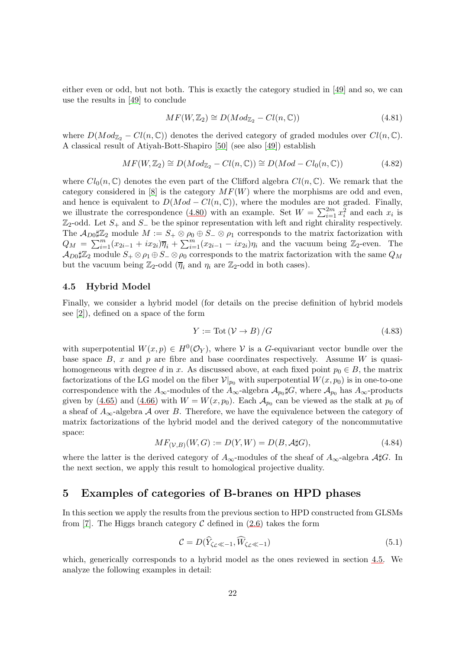either even or odd, but not both. This is exactly the category studied in [\[49\]](#page-35-7) and so, we can use the results in [\[49\]](#page-35-7) to conclude

$$
MF(W, \mathbb{Z}_2) \cong D(Mod_{\mathbb{Z}_2} - Cl(n, \mathbb{C})) \tag{4.81}
$$

where  $D(Mod_{\mathbb{Z}_2} - Cl(n, \mathbb{C}))$  denotes the derived category of graded modules over  $Cl(n, \mathbb{C})$ . A classical result of Atiyah-Bott-Shapiro [\[50\]](#page-35-8) (see also [\[49\]](#page-35-7)) establish

$$
MF(W, \mathbb{Z}_2) \cong D(Mod_{\mathbb{Z}_2} - Cl(n, \mathbb{C})) \cong D(Mod - Cl_0(n, \mathbb{C}))
$$
\n(4.82)

where  $Cl_0(n,\mathbb{C})$  denotes the even part of the Clifford algebra  $Cl(n,\mathbb{C})$ . We remark that the category considered in [\[8\]](#page-33-1) is the category  $MF(W)$  where the morphisms are odd and even, and hence is equivalent to  $D(Mod - Cl(n, \mathbb{C}))$ , where the modules are not graded. Finally, we illustrate the correspondence [\(4.80\)](#page-20-2) with an example. Set  $W = \sum_{i=1}^{2m} x_i^2$  and each  $x_i$  is  $\mathbb{Z}_2$ -odd. Let  $S_+$  and  $S_-$  be the spinor representation with left and right chirality respectively. The  $\mathcal{A}_{D0}\sharp \mathbb{Z}_2$  module  $M := S_+ \otimes \rho_0 \oplus S_- \otimes \rho_1$  corresponds to the matrix factorization with  $Q_M = \sum_{i=1}^m (x_{2i-1} + ix_{2i}) \overline{\eta}_i + \sum_{i=1}^m (x_{2i-1} - ix_{2i}) \eta_i$  and the vacuum being  $\mathbb{Z}_2$ -even. The  $\mathcal{A}_{D0}$ # $\mathbb{Z}_2$  module  $S_+\otimes\rho_1\oplus S_-\otimes\rho_0$  corresponds to the matrix factorization with the same  $Q_M$ but the vacuum being  $\mathbb{Z}_2$ -odd  $(\overline{\eta}_i \text{ and } \eta_i \text{ are } \mathbb{Z}_2$ -odd in both cases).

#### <span id="page-21-0"></span>4.5 Hybrid Model

Finally, we consider a hybrid model (for details on the precise definition of hybrid models see [\[2\]](#page-32-1)), defined on a space of the form

$$
Y := \text{Tot}\left(\mathcal{V} \to B\right) / G \tag{4.83}
$$

with superpotential  $W(x,p) \in H^0(\mathcal{O}_Y)$ , where V is a G-equivariant vector bundle over the base space  $B$ , x and p are fibre and base coordinates respectively. Assume W is quasihomogeneous with degree d in x. As discussed above, at each fixed point  $p_0 \in B$ , the matrix factorizations of the LG model on the fiber  $\mathcal{V}|_{p_0}$  with superpotential  $W(x, p_0)$  is in one-to-one correspondence with the  $A_{\infty}$ -modules of the  $A_{\infty}$ -algebra  $\mathcal{A}_{p_0} \sharp G$ , where  $\mathcal{A}_{p_0}$  has  $A_{\infty}$ -products given by [\(4.65\)](#page-17-0) and [\(4.66\)](#page-17-1) with  $W = W(x, p_0)$ . Each  $\mathcal{A}_{p_0}$  can be viewed as the stalk at  $p_0$  of a sheaf of  $A_{\infty}$ -algebra A over B. Therefore, we have the equivalence between the category of matrix factorizations of the hybrid model and the derived category of the noncommutative space:

$$
MF_{(\mathcal{V},B)}(W,G) := D(Y,W) = D(B,\mathcal{A} \sharp G),\tag{4.84}
$$

where the latter is the derived category of  $A_{\infty}$ -modules of the sheaf of  $A_{\infty}$ -algebra  $\mathcal{A} \sharp G$ . In the next section, we apply this result to homological projective duality.

### <span id="page-21-1"></span>5 Examples of categories of B-branes on HPD phases

In this section we apply the results from the previous section to HPD constructed from GLSMs from [\[7\]](#page-33-0). The Higgs branch category  $\mathcal C$  defined in [\(2.6\)](#page-4-4) takes the form

$$
\mathcal{C} = D(\widehat{Y}_{\zeta_{\mathcal{L}} \ll -1}, \widehat{W}_{\zeta_{\mathcal{L}} \ll -1})
$$
\n(5.1)

which, generically corresponds to a hybrid model as the ones reviewed in section [4.5.](#page-21-0) We analyze the following examples in detail: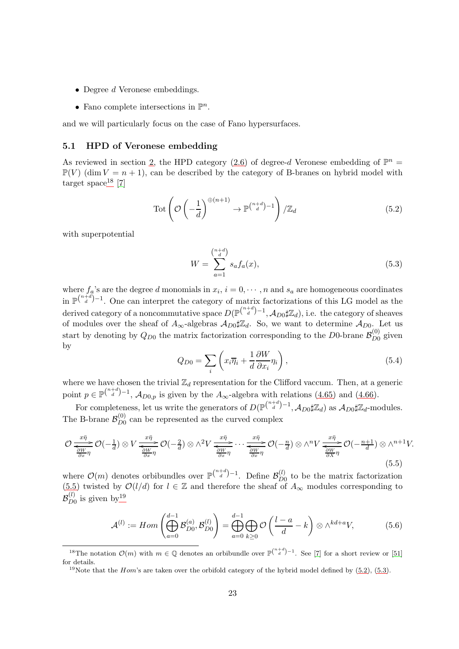- Degree d Veronese embeddings.
- Fano complete intersections in  $\mathbb{P}^n$ .

<span id="page-22-0"></span>and we will particularly focus on the case of Fano hypersurfaces.

#### 5.1 HPD of Veronese embedding

As reviewed in section [2,](#page-3-0) the HPD category [\(2.6\)](#page-4-4) of degree-d Veronese embedding of  $\mathbb{P}^n$  =  $\mathbb{P}(V)$  (dim  $V = n + 1$ ), can be described by the category of B-branes on hybrid model with target space<sup>[18](#page-22-1)</sup> [\[7\]](#page-33-0)

<span id="page-22-4"></span>
$$
\text{Tot}\left(\mathcal{O}\left(-\frac{1}{d}\right)^{\oplus (n+1)} \to \mathbb{P}\binom{n+d}{d} - 1}{\mathbb{Z}_d} \tag{5.2}
$$

with superpotential

<span id="page-22-5"></span>
$$
W = \sum_{a=1}^{\binom{n+d}{d}} s_a f_a(x),\tag{5.3}
$$

where  $f_a$ 's are the degree d monomials in  $x_i$ ,  $i = 0, \dots, n$  and  $s_a$  are homogeneous coordinates in  $\mathbb{P}^{\binom{n+d}{d}-1}$ . One can interpret the category of matrix factorizations of this LG model as the derived category of a noncommutative space  $D(\mathbb{P}^{{n+d \choose d}-1}, \mathcal{A}_{D0} \sharp \mathbb{Z}_d)$ , i.e. the category of sheaves of modules over the sheaf of  $A_{\infty}$ -algebras  $A_{D0} \sharp \mathbb{Z}_d$ . So, we want to determine  $A_{D0}$ . Let us start by denoting by  $Q_{D0}$  the matrix factorization corresponding to the D0-brane  $\mathcal{B}_{D0}^{(0)}$  $\mathcal{L}_{D0}^{(0)}$  given by

$$
Q_{D0} = \sum_{i} \left( x_i \overline{\eta}_i + \frac{1}{d} \frac{\partial W}{\partial x_i} \eta_i \right), \tag{5.4}
$$

where we have chosen the trivial  $\mathbb{Z}_d$  representation for the Clifford vaccum. Then, at a generic point  $p \in \mathbb{P}^{\binom{n+d}{d}-1}$ ,  $\mathcal{A}_{D0,p}$  is given by the  $A_{\infty}$ -algebra with relations [\(4.65\)](#page-17-0) and [\(4.66\)](#page-17-1).

For completeness, let us write the generators of  $D(\mathbb{P}^{\binom{n+d}{d}-1}, \mathcal{A}_{D0}\sharp \mathbb{Z}_d)$  as  $\mathcal{A}_{D0}\sharp \mathbb{Z}_d$ -modules. The B-brane  $\mathcal{B}_{D0}^{(0)}$  $\frac{100}{200}$  can be represented as the curved complex

<span id="page-22-2"></span>
$$
\mathcal{O} \xrightarrow[\frac{x\bar{\eta}}{\frac{\partial W}{\partial x}\eta} \mathcal{O}(-\frac{1}{d}) \otimes V \xrightarrow[\frac{x\bar{\eta}}{\frac{\partial W}{\partial x}\eta} \mathcal{O}(-\frac{2}{d}) \otimes \wedge^2 V \xrightarrow[\frac{x\bar{\eta}}{\frac{\partial W}{\partial x}\eta} \cdots \xrightarrow[\frac{x\bar{\eta}}{\frac{\partial W}{\partial x}\eta} \mathcal{O}(-\frac{n}{d}) \otimes \wedge^n V \xrightarrow[\frac{x\bar{\eta}}{\frac{\partial W}{\partial x}\eta} \mathcal{O}(-\frac{n+1}{d}) \otimes \wedge^{n+1} V. \tag{5.5}
$$

where  $\mathcal{O}(m)$  denotes orbibundles over  $\mathbb{P}({\binom{n+d}{d}}-1)$ . Define  $\mathcal{B}_{DQ}^{(l)}$  $\mathcal{L}_{D0}^{(t)}$  to be the matrix factorization [\(5.5\)](#page-22-2) twisted by  $\mathcal{O}(l/d)$  for  $l \in \mathbb{Z}$  and therefore the sheaf of  $A_{\infty}$  modules corresponding to  ${\cal B}^{(l)}_{D0}$  $_{D0}^{(l)}$  is given by  $19$ 

<span id="page-22-6"></span>
$$
\mathcal{A}^{(l)} := Hom\left(\bigoplus_{a=0}^{d-1} \mathcal{B}_{D0}^{(a)}, \mathcal{B}_{D0}^{(l)}\right) = \bigoplus_{a=0}^{d-1} \bigoplus_{k\geq 0} \mathcal{O}\left(\frac{l-a}{d} - k\right) \otimes \wedge^{kd+a} V,\tag{5.6}
$$

<sup>&</sup>lt;sup>18</sup>The notation  $\mathcal{O}(m)$  with  $m \in \mathbb{Q}$  denotes an orbibundle over  $\mathbb{P}^{\binom{n+d}{d}-1}$ . See [\[7\]](#page-33-0) for a short review or [\[51\]](#page-35-9) for details.

<span id="page-22-3"></span><span id="page-22-1"></span><sup>&</sup>lt;sup>19</sup>Note that the *Hom*'s are taken over the orbifold category of the hybrid model defined by  $(5.2)$ ,  $(5.3)$ .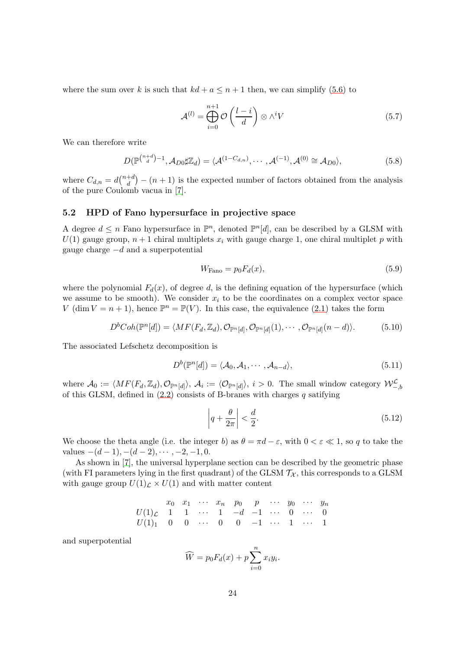where the sum over k is such that  $kd + a \leq n + 1$  then, we can simplify [\(5.6\)](#page-22-6) to

$$
\mathcal{A}^{(l)} = \bigoplus_{i=0}^{n+1} \mathcal{O}\left(\frac{l-i}{d}\right) \otimes \wedge^i V \tag{5.7}
$$

We can therefore write

$$
D(\mathbb{P}^{\binom{n+d}{d}-1}, \mathcal{A}_{D0}\sharp \mathbb{Z}_d) = \langle \mathcal{A}^{(1-C_{d,n})}, \cdots, \mathcal{A}^{(-1)}, \mathcal{A}^{(0)} \cong \mathcal{A}_{D0} \rangle, \tag{5.8}
$$

where  $C_{d,n} = d\binom{n+d}{d}$  $\binom{+d}{d}$  –  $(n+1)$  is the expected number of factors obtained from the analysis of the pure Coulomb vacua in [\[7\]](#page-33-0).

#### <span id="page-23-0"></span>5.2 HPD of Fano hypersurface in projective space

A degree  $d \leq n$  Fano hypersurface in  $\mathbb{P}^n$ , denoted  $\mathbb{P}^n[d]$ , can be described by a GLSM with  $U(1)$  gauge group,  $n + 1$  chiral multiplets  $x_i$  with gauge charge 1, one chiral multiplet p with gauge charge  $-d$  and a superpotential

$$
W_{\text{Fano}} = p_0 F_d(x),\tag{5.9}
$$

where the polynomial  $F_d(x)$ , of degree d, is the defining equation of the hypersurface (which we assume to be smooth). We consider  $x_i$  to be the coordinates on a complex vector space V (dim  $V = n + 1$ ), hence  $\mathbb{P}^n = \mathbb{P}(V)$ . In this case, the equivalence [\(2.1\)](#page-3-4) takes the form

$$
D^{b}Coh(\mathbb{P}^{n}[d]) = \langle MF(F_d, \mathbb{Z}_d), \mathcal{O}_{\mathbb{P}^{n}[d]}, \mathcal{O}_{\mathbb{P}^{n}[d]}(1), \cdots, \mathcal{O}_{\mathbb{P}^{n}[d]}(n-d) \rangle.
$$
 (5.10)

The associated Lefschetz decomposition is

<span id="page-23-1"></span>
$$
D^{b}(\mathbb{P}^{n}[d]) = \langle \mathcal{A}_{0}, \mathcal{A}_{1}, \cdots, \mathcal{A}_{n-d} \rangle, \tag{5.11}
$$

where  $\mathcal{A}_0 := \langle MF(F_d, \mathbb{Z}_d), \mathcal{O}_{\mathbb{P}^n[d]} \rangle, \mathcal{A}_i := \langle \mathcal{O}_{\mathbb{P}^n[d]} \rangle, i > 0.$  The small window category  $\mathcal{W}^{\mathcal{L}}_{-,b}$ of this GLSM, defined in  $(2.2)$  consists of B-branes with charges q satifying

<span id="page-23-2"></span>
$$
\left| q + \frac{\theta}{2\pi} \right| < \frac{d}{2}.\tag{5.12}
$$

We choose the theta angle (i.e. the integer b) as  $\theta = \pi d - \varepsilon$ , with  $0 < \varepsilon \ll 1$ , so q to take the values  $-(d-1), -(d-2), \cdots, -2, -1, 0.$ 

As shown in [\[7\]](#page-33-0), the universal hyperplane section can be described by the geometric phase (with FI parameters lying in the first quadrant) of the GLSM  $\mathcal{T}_{\mathcal{X}}$ , this corresponds to a GLSM with gauge group  $U(1)<sub>L</sub> \times U(1)$  and with matter content

$$
x_0 \quad x_1 \quad \cdots \quad x_n \quad p_0 \quad p \quad \cdots \quad y_0 \quad \cdots \quad y_n
$$
  

$$
U(1)_{\mathcal{L}} \quad 1 \quad 1 \quad \cdots \quad 1 \quad -d \quad -1 \quad \cdots \quad 0 \quad \cdots \quad 0
$$
  

$$
U(1)_1 \quad 0 \quad 0 \quad \cdots \quad 0 \quad 0 \quad -1 \quad \cdots \quad 1 \quad \cdots \quad 1
$$

and superpotential

$$
\widehat{W} = p_0 F_d(x) + p \sum_{i=0}^{n} x_i y_i.
$$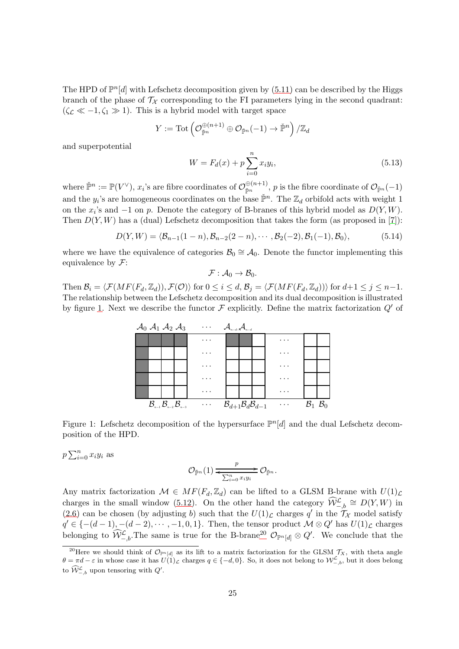The HPD of  $\mathbb{P}^n[d]$  with Lefschetz decomposition given by  $(5.11)$  can be described by the Higgs branch of the phase of  $\mathcal{T}_{\mathcal{X}}$  corresponding to the FI parameters lying in the second quadrant:  $(\zeta_{\mathcal{L}} \ll -1, \zeta_1 \gg 1)$ . This is a hybrid model with target space

$$
Y:=\mathrm{Tot}\left(\mathcal{O}_{\check{\mathbb{P}}^n}^{\oplus (n+1)}\oplus \mathcal{O}_{\check{\mathbb{P}}^n}(-1)\to \check{\mathbb{P}}^n\right)/\mathbb{Z}_d
$$

and superpotential

<span id="page-24-2"></span>
$$
W = F_d(x) + p \sum_{i=0}^{n} x_i y_i,
$$
\n(5.13)

where  $\check{\mathbb{P}}^n := \mathbb{P}(V^{\vee}), x_i$ 's are fibre coordinates of  $\mathcal{O}_{\check{\mathbb{P}}^n}^{\oplus (n+1)}$  $\widetilde{\mathbb{P}}^{n}$ <sup>pn</sup>, p is the fibre coordinate of  $\mathcal{O}_{\check{\mathbb{P}}^n}(-1)$ and the  $y_i$ 's are homogeneous coordinates on the base  $\check{\mathbb{P}}^n$ . The  $\mathbb{Z}_d$  orbifold acts with weight 1 on the  $x_i$ 's and  $-1$  on p. Denote the category of B-branes of this hybrid model as  $D(Y, W)$ . Then  $D(Y, W)$  has a (dual) Lefschetz decomposition that takes the form (as proposed in [\[7\]](#page-33-0)):

$$
D(Y, W) = \langle \mathcal{B}_{n-1}(1-n), \mathcal{B}_{n-2}(2-n), \cdots, \mathcal{B}_2(-2), \mathcal{B}_1(-1), \mathcal{B}_0 \rangle, \tag{5.14}
$$

where we have the equivalence of categories  $\mathcal{B}_0 \cong \mathcal{A}_0$ . Denote the functor implementing this equivalence by  $\mathcal{F}$ :

 $\mathcal{F} : \mathcal{A}_0 \to \mathcal{B}_0.$ 

<span id="page-24-0"></span>Then  $\mathcal{B}_i = \langle \mathcal{F}(MF(F_d,\mathbb{Z}_d)), \mathcal{F}(\mathcal{O})\rangle$  for  $0 \leq i \leq d$ ,  $\mathcal{B}_j = \langle \mathcal{F}(MF(F_d,\mathbb{Z}_d))\rangle$  for  $d+1 \leq j \leq n-1$ . The relationship between the Lefschetz decomposition and its dual decomposition is illustrated by figure [1.](#page-24-0) Next we describe the functor  $\mathcal F$  explicitly. Define the matrix factorization  $Q'$  of



Figure 1: Lefschetz decomposition of the hypersurface  $\mathbb{P}^{n}[d]$  and the dual Lefschetz decomposition of the HPD.

 $p\sum_{i=0}^n x_iy_i$  as

$$
\mathcal{O}_{\check{\mathbb{P}}^n}(1) \xrightarrow{\qquad p} \mathcal{O}_{\check{\mathbb{P}}^n}.
$$

Any matrix factorization  $\mathcal{M} \in MF(F_d, \mathbb{Z}_d)$  can be lifted to a GLSM B-brane with  $U(1)_{\mathcal{L}}$ charges in the small window [\(5.12\)](#page-23-2). On the other hand the category  $\widehat{W}^{\mathcal{L}}_{-,b} \cong D(Y,W)$  in [\(2.6\)](#page-4-4) can be chosen (by adjusting b) such that the  $U(1)<sub>L</sub>$  charges q' in the  $\mathcal{T}_{\mathcal{X}}$  model satisfy  $q' \in \{-(d-1), -(d-2), \cdots, -1, 0, 1\}$ . Then, the tensor product  $\mathcal{M} \otimes Q'$  has  $U(1)_{\mathcal{L}}$  charges belonging to  $\widehat{W}^{\mathcal{L}}_{-,b}$ . The same is true for the B-brane<sup>[20](#page-24-1)</sup>  $\mathcal{O}_{\mathbb{P}^n[d]} \otimes Q'$ . We conclude that the

<span id="page-24-1"></span><sup>&</sup>lt;sup>20</sup>Here we should think of  $\mathcal{O}_{\mathbb{P}^n[d]}$  as its lift to a matrix factorization for the GLSM  $\mathcal{T}_X$ , with theta angle  $\theta = \pi d - \varepsilon$  in whose case it has  $U(1)$ <sub>c</sub> charges  $q \in \{-d, 0\}$ . So, it does not belong to  $\mathcal{W}^{\mathcal{L}}_{-,b}$ , but it does belong to  $\widehat{\mathcal{W}}^{\mathcal{L}}_{-,b}$  upon tensoring with  $Q'$ .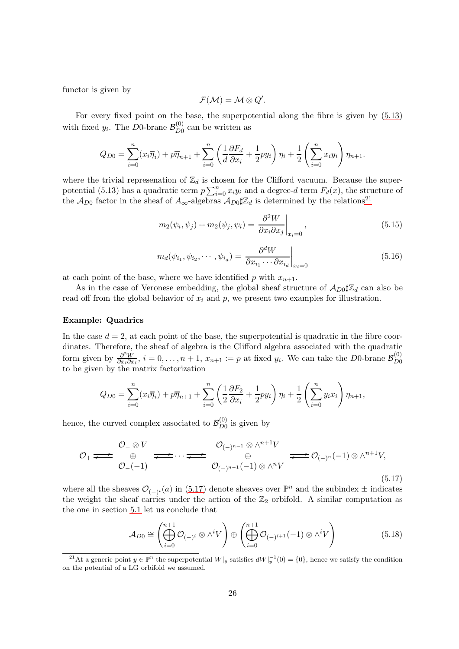functor is given by

$$
\mathcal{F}(\mathcal{M})=\mathcal{M}\otimes Q'.
$$

For every fixed point on the base, the superpotential along the fibre is given by [\(5.13\)](#page-24-2) with fixed  $y_i$ . The D0-brane  $\mathcal{B}_{D0}^{(0)}$  $_{D0}^{(0)}$  can be written as

$$
Q_{D0} = \sum_{i=0}^{n} (x_i \overline{\eta}_i) + p \overline{\eta}_{n+1} + \sum_{i=0}^{n} \left( \frac{1}{d} \frac{\partial F_d}{\partial x_i} + \frac{1}{2} p y_i \right) \eta_i + \frac{1}{2} \left( \sum_{i=0}^{n} x_i y_i \right) \eta_{n+1}.
$$

where the trivial represenation of  $\mathbb{Z}_d$  is chosen for the Clifford vacuum. Because the super-potential [\(5.13\)](#page-24-2) has a quadratic term  $p \sum_{i=0}^{n} x_i y_i$  and a degree-d term  $F_d(x)$ , the structure of the  $\mathcal{A}_{D0}$  factor in the sheaf of  $A_{\infty}$ -algebras  $\mathcal{A}_{D0}\sharp\mathbb{Z}_{d}$  is determined by the relations<sup>[21](#page-25-0)</sup>

$$
m_2(\psi_i, \psi_j) + m_2(\psi_j, \psi_i) = \left. \frac{\partial^2 W}{\partial x_i \partial x_j} \right|_{x_i=0},\tag{5.15}
$$

$$
m_d(\psi_{i_1}, \psi_{i_2}, \cdots, \psi_{i_d}) = \left. \frac{\partial^d W}{\partial x_{i_1} \cdots \partial x_{i_d}} \right|_{x_i = 0} \tag{5.16}
$$

at each point of the base, where we have identified p with  $x_{n+1}$ .

As in the case of Veronese embedding, the global sheaf structure of  $\mathcal{A}_{D0} \sharp \mathbb{Z}_d$  can also be read off from the global behavior of  $x_i$  and  $p$ , we present two examples for illustration.

#### Example: Quadrics

In the case  $d = 2$ , at each point of the base, the superpotential is quadratic in the fibre coordinates. Therefore, the sheaf of algebra is the Clifford algebra associated with the quadratic form given by  $\frac{\partial^2 W}{\partial x_i \partial y}$  $\frac{\partial^2 W}{\partial x_i \partial x_i}$ ,  $i = 0, \ldots, n + 1$ ,  $x_{n+1} := p$  at fixed  $y_i$ . We can take the D0-brane  $\mathcal{B}_{D0}^{(0)}$ D0 to be given by the matrix factorization

$$
Q_{D0} = \sum_{i=0}^{n} (x_i \overline{\eta}_i) + p \overline{\eta}_{n+1} + \sum_{i=0}^{n} \left( \frac{1}{2} \frac{\partial F_2}{\partial x_i} + \frac{1}{2} p y_i \right) \eta_i + \frac{1}{2} \left( \sum_{i=0}^{n} y_i x_i \right) \eta_{n+1},
$$

hence, the curved complex associated to  $\mathcal{B}_{D0}^{(0)}$  $_{D0}^{(0)}$  is given by

<span id="page-25-1"></span>
$$
\mathcal{O}_{+} \stackrel{\mathcal{O}_{-} \otimes V}{\iff} \oplus \qquad \qquad \mathcal{O}_{-}(-1) \qquad \qquad \mathcal{O}_{(-)}^{n-1} \otimes \wedge^{n+1} V \qquad \qquad \mathcal{O}_{(-)}^{n-1} \otimes \wedge^{n+1} V,
$$
\n
$$
\mathcal{O}_{-}(-1) \otimes \wedge^{n+1} V \qquad \qquad \mathcal{O}_{(-)}^{n-1}(-1) \otimes \wedge^{n+1} V \qquad (5.17)
$$

where all the sheaves  $\mathcal{O}_{(-)^i}(a)$  in [\(5.17\)](#page-25-1) denote sheaves over  $\mathbb{P}^n$  and the subindex  $\pm$  indicates the weight the sheaf carries under the action of the  $\mathbb{Z}_2$  orbifold. A similar computation as the one in section [5.1](#page-22-0) let us conclude that

$$
\mathcal{A}_{D0} \cong \left(\bigoplus_{i=0}^{n+1} \mathcal{O}_{(-)^i} \otimes \wedge^i V\right) \oplus \left(\bigoplus_{i=0}^{n+1} \mathcal{O}_{(-)^{i+1}}(-1) \otimes \wedge^i V\right) \tag{5.18}
$$

<span id="page-25-0"></span><sup>&</sup>lt;sup>21</sup>At a generic point  $y \in \mathbb{P}^n$  the superpotential  $W|_y$  satisfies  $dW|_y^{-1}(0) = \{0\}$ , hence we satisfy the condition on the potential of a LG orbifold we assumed.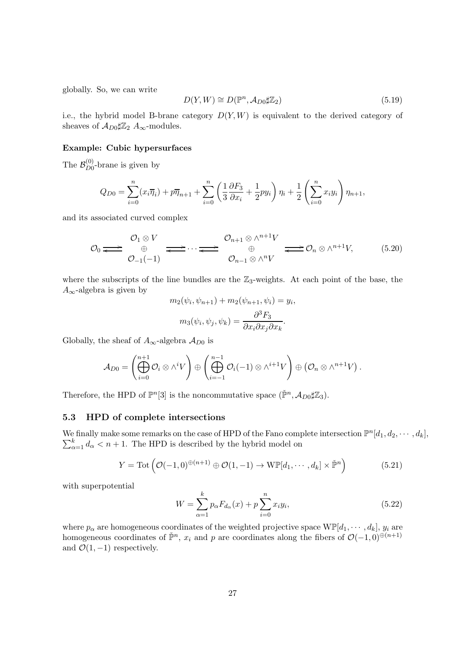globally. So, we can write

$$
D(Y, W) \cong D(\mathbb{P}^n, \mathcal{A}_{D0} \sharp \mathbb{Z}_2) \tag{5.19}
$$

i.e., the hybrid model B-brane category  $D(Y, W)$  is equivalent to the derived category of sheaves of  $\mathcal{A}_{D0}\sharp \mathbb{Z}_2$   $A_{\infty}$ -modules.

#### Example: Cubic hypersurfaces

The  $\mathcal{B}^{(0)}_{D0}$  $_{D0}^{(0)}$ -brane is given by

$$
Q_{D0} = \sum_{i=0}^{n} (x_i \overline{\eta}_i) + p \overline{\eta}_{n+1} + \sum_{i=0}^{n} \left( \frac{1}{3} \frac{\partial F_3}{\partial x_i} + \frac{1}{2} p y_i \right) \eta_i + \frac{1}{2} \left( \sum_{i=0}^{n} x_i y_i \right) \eta_{n+1},
$$

and its associated curved complex

$$
\mathcal{O}_0 \Longleftrightarrow \begin{array}{c} \mathcal{O}_1 \otimes V \\ \oplus \\ \mathcal{O}_{-1}(-1) \end{array} \Longleftrightarrow \cdots \Longleftrightarrow \begin{array}{c} \mathcal{O}_{n+1} \otimes \wedge^{n+1}V \\ \oplus \\ \mathcal{O}_{n-1} \otimes \wedge^nV \end{array} \Longleftrightarrow \mathcal{O}_n \otimes \wedge^{n+1}V, \tag{5.20}
$$

where the subscripts of the line bundles are the  $\mathbb{Z}_3$ -weights. At each point of the base, the  $A_{\infty}$ -algebra is given by

$$
m_2(\psi_i, \psi_{n+1}) + m_2(\psi_{n+1}, \psi_i) = y_i,
$$
  

$$
m_3(\psi_i, \psi_j, \psi_k) = \frac{\partial^3 F_3}{\partial x_i \partial x_j \partial x_k}.
$$

Globally, the sheaf of  $A_{\infty}$ -algebra  $A_{D0}$  is

$$
\mathcal{A}_{D0} = \left(\bigoplus_{i=0}^{n+1} \mathcal{O}_i \otimes \wedge^i V\right) \oplus \left(\bigoplus_{i=-1}^{n-1} \mathcal{O}_i(-1) \otimes \wedge^{i+1} V\right) \oplus \left(\mathcal{O}_n \otimes \wedge^{n+1} V\right).
$$

Therefore, the HPD of  $\mathbb{P}^n[3]$  is the noncommutative space  $(\check{\mathbb{P}}^n, \mathcal{A}_{D0} \sharp \mathbb{Z}_3)$ .

#### <span id="page-26-0"></span>5.3 HPD of complete intersections

We finally make some remarks on the case of HPD of the Fano complete intersection  $\mathbb{P}^n[d_1, d_2, \cdots, d_k]$ ,  $\sum_{\alpha=1}^{k} d_{\alpha} < n+1$ . The HPD is described by the hybrid model on

$$
Y = \text{Tot}\left(\mathcal{O}(-1,0)^{\oplus (n+1)} \oplus \mathcal{O}(1,-1) \to \text{WF}[d_1,\cdots,d_k] \times \check{\mathbb{P}}^n\right) \tag{5.21}
$$

with superpotential

$$
W = \sum_{\alpha=1}^{k} p_{\alpha} F_{d_{\alpha}}(x) + p \sum_{i=0}^{n} x_i y_i,
$$
\n(5.22)

where  $p_{\alpha}$  are homogeneous coordinates of the weighted projective space  $W\mathbb{P}[d_1,\dots,d_k], y_i$  are homogeneous coordinates of  $\check{P}^n$ ,  $x_i$  and p are coordinates along the fibers of  $\mathcal{O}(-1,0)^{\oplus (n+1)}$ and  $\mathcal{O}(1,-1)$  respectively.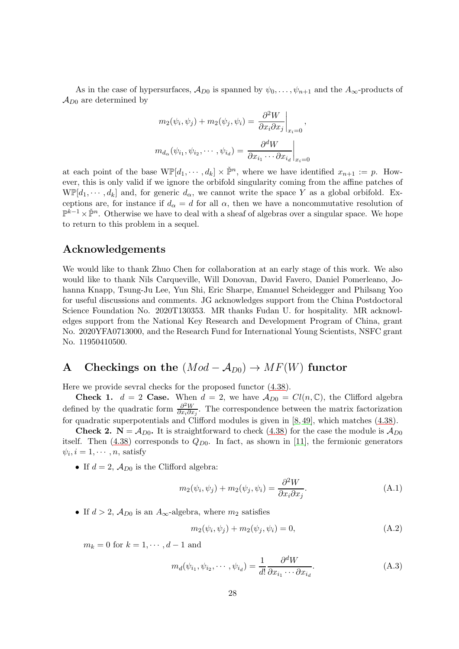As in the case of hypersurfaces,  $\mathcal{A}_{D0}$  is spanned by  $\psi_0, \dots, \psi_{n+1}$  and the  $A_{\infty}$ -products of  $\mathcal{A}_{D0}$  are determined by

$$
m_2(\psi_i, \psi_j) + m_2(\psi_j, \psi_i) = \frac{\partial^2 W}{\partial x_i \partial x_j}\Big|_{x_i=0},
$$
  

$$
m_{d_\alpha}(\psi_{i_1}, \psi_{i_2}, \cdots, \psi_{i_d}) = \frac{\partial^d W}{\partial x_{i_1} \cdots \partial x_{i_d}}\Big|_{x_i=0}
$$

at each point of the base  $\text{WF}[d_1, \dots, d_k] \times \check{\mathbb{P}}^n$ , where we have identified  $x_{n+1} := p$ . However, this is only valid if we ignore the orbifold singularity coming from the affine patches of  $W\mathbb{P}[d_1,\dots,d_k]$  and, for generic  $d_{\alpha}$ , we cannot write the space Y as a global orbifold. Exceptions are, for instance if  $d_{\alpha} = d$  for all  $\alpha$ , then we have a noncommutative resolution of  $\mathbb{P}^{k-1}\times\check{\mathbb{P}}^n$ . Otherwise we have to deal with a sheaf of algebras over a singular space. We hope to return to this problem in a sequel.

### Acknowledgements

We would like to thank Zhuo Chen for collaboration at an early stage of this work. We also would like to thank Nils Carqueville, Will Donovan, David Favero, Daniel Pomerleano, Johanna Knapp, Tsung-Ju Lee, Yun Shi, Eric Sharpe, Emanuel Scheidegger and Philsang Yoo for useful discussions and comments. JG acknowledges support from the China Postdoctoral Science Foundation No. 2020T130353. MR thanks Fudan U. for hospitality. MR acknowledges support from the National Key Research and Development Program of China, grant No. 2020YFA0713000, and the Research Fund for International Young Scientists, NSFC grant No. 11950410500.

# <span id="page-27-0"></span>A Checkings on the  $(Mod - A_{D0}) \rightarrow MF(W)$  functor

Here we provide sevral checks for the proposed functor [\(4.38\)](#page-13-1).

**Check 1.**  $d = 2$  **Case.** When  $d = 2$ , we have  $\mathcal{A}_{D0} = Cl(n, \mathbb{C})$ , the Clifford algebra defined by the quadratic form  $\frac{\partial^2 W}{\partial x_i \partial x_j}$  $\frac{\partial^2 W}{\partial x_i \partial x_j}$ . The correspondence between the matrix factorization for quadratic superpotentials and Clifford modules is given in [\[8,](#page-33-1) [49\]](#page-35-7), which matches [\(4.38\)](#page-13-1).

**Check 2.**  $N = A_{D0}$ . It is straightforward to check [\(4.38\)](#page-13-1) for the case the module is  $A_{D0}$ itself. Then  $(4.38)$  corresponds to  $Q_{D0}$ . In fact, as shown in [\[11\]](#page-33-4), the fermionic generators  $\psi_i, i = 1, \cdots, n$ , satisfy

• If  $d = 2$ ,  $\mathcal{A}_{D0}$  is the Clifford algebra:

<span id="page-27-1"></span>
$$
m_2(\psi_i, \psi_j) + m_2(\psi_j, \psi_i) = \frac{\partial^2 W}{\partial x_i \partial x_j}.
$$
\n(A.1)

• If  $d > 2$ ,  $\mathcal{A}_{D0}$  is an  $A_{\infty}$ -algebra, where  $m_2$  satisfies

<span id="page-27-2"></span>
$$
m_2(\psi_i, \psi_j) + m_2(\psi_j, \psi_i) = 0,
$$
\n(A.2)

 $m_k = 0$  for  $k = 1, \dots, d-1$  and

<span id="page-27-3"></span>
$$
m_d(\psi_{i_1}, \psi_{i_2}, \cdots, \psi_{i_d}) = \frac{1}{d!} \frac{\partial^d W}{\partial x_{i_1} \cdots \partial x_{i_d}}.
$$
 (A.3)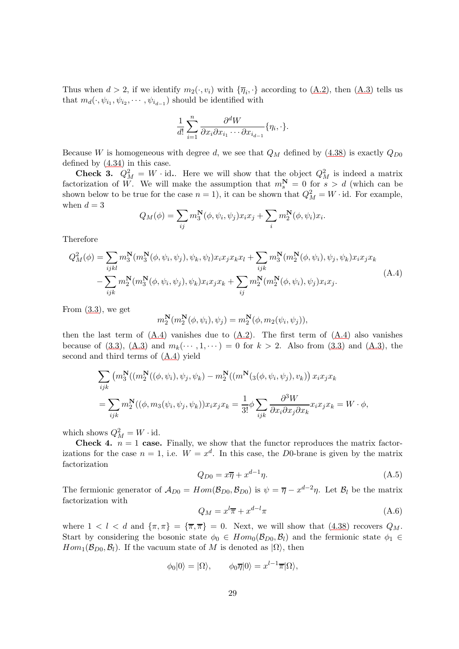Thus when  $d > 2$ , if we identify  $m_2(\cdot, v_i)$  with  $\{\overline{\eta}_i, \cdot\}$  according to  $(A.2)$ , then  $(A.3)$  tells us that  $m_d(\cdot, \psi_{i_1}, \psi_{i_2}, \cdots, \psi_{i_{d-1}})$  should be identified with

$$
\frac{1}{d!} \sum_{i=1}^{n} \frac{\partial^d W}{\partial x_i \partial x_{i_1} \cdots \partial x_{i_{d-1}}} \{\eta_i, \cdot\}.
$$

Because W is homogeneous with degree d, we see that  $Q_M$  defined by [\(4.38\)](#page-13-1) is exactly  $Q_{D0}$ defined by [\(4.34\)](#page-12-4) in this case.

**Check 3.**  $Q_M^2 = W \cdot id$ . Here we will show that the object  $Q_M^2$  is indeed a matrix factorization of W. We will make the assumption that  $m_s^N = 0$  for  $s > d$  (which can be shown below to be true for the case  $n = 1$ , it can be shown that  $Q_M^2 = W \cdot id$ . For example, when  $d = 3$ 

$$
Q_M(\phi) = \sum_{ij} m_3^N(\phi, \psi_i, \psi_j) x_i x_j + \sum_i m_2^N(\phi, \psi_i) x_i.
$$

Therefore

<span id="page-28-0"></span>
$$
Q_M^2(\phi) = \sum_{ijkl} m_3^N(m_3^N(\phi, \psi_i, \psi_j), \psi_k, \psi_l) x_i x_j x_k x_l + \sum_{ijk} m_3^N(m_2^N(\phi, \psi_i), \psi_j, \psi_k) x_i x_j x_k - \sum_{ijk} m_2^N(m_3^N(\phi, \psi_i, \psi_j), \psi_k) x_i x_j x_k + \sum_{ij} m_2^N(m_2^N(\phi, \psi_i), \psi_j) x_i x_j.
$$
\n(A.4)

From  $(3.3)$ , we get

$$
m_2^{\mathbf{N}}(m_2^{\mathbf{N}}(\phi, \psi_i), \psi_j) = m_2^{\mathbf{N}}(\phi, m_2(\psi_i, \psi_j)),
$$

then the last term of  $(A.4)$  vanishes due to  $(A.2)$ . The first term of  $(A.4)$  also vanishes because of [\(3.3\)](#page-4-3), [\(A.3\)](#page-27-3) and  $m_k(\cdots, 1, \cdots) = 0$  for  $k > 2$ . Also from (3.3) and (A.3), the second and third terms of [\(A.4\)](#page-28-0) yield

$$
\sum_{ijk} (m_3^N((m_2^N((\phi, \psi_i), \psi_j, \psi_k) - m_2^N((m^N(\phi, \psi_i, \psi_j), v_k)) x_i x_j x_k)
$$
  
= 
$$
\sum_{ijk} m_2^N((\phi, m_3(\psi_i, \psi_j, \psi_k)) x_i x_j x_k = \frac{1}{3!} \phi \sum_{ijk} \frac{\partial^3 W}{\partial x_i \partial x_j \partial x_k} x_i x_j x_k = W \cdot \phi,
$$

which shows  $Q_M^2 = W \cdot id$ .

**Check 4.**  $n = 1$  case. Finally, we show that the functor reproduces the matrix factorizations for the case  $n = 1$ , i.e.  $W = x^d$ . In this case, the D0-brane is given by the matrix factorization

$$
Q_{D0} = x\overline{\eta} + x^{d-1}\eta. \tag{A.5}
$$

The fermionic generator of  $\mathcal{A}_{D0} = Hom(\mathcal{B}_{D0}, \mathcal{B}_{D0})$  is  $\psi = \overline{\eta} - x^{d-2}\eta$ . Let  $\mathcal{B}_l$  be the matrix factorization with

<span id="page-28-1"></span>
$$
Q_M = x^l \overline{\pi} + x^{d-l} \pi \tag{A.6}
$$

where  $1 < l < d$  and  $\{\pi, \pi\} = \{\overline{\pi}, \overline{\pi}\} = 0$ . Next, we will show that [\(4.38\)](#page-13-1) recovers  $Q_M$ . Start by considering the bosonic state  $\phi_0 \in Hom_0(\mathcal{B}_{D0}, \mathcal{B}_l)$  and the fermionic state  $\phi_1 \in$  $Hom_1(\mathcal{B}_{D_0}, \mathcal{B}_l)$ . If the vacuum state of M is denoted as  $|\Omega\rangle$ , then

$$
\phi_0|0\rangle = |\Omega\rangle, \qquad \phi_0 \overline{\eta}|0\rangle = x^{l-1} \overline{\pi}|\Omega\rangle,
$$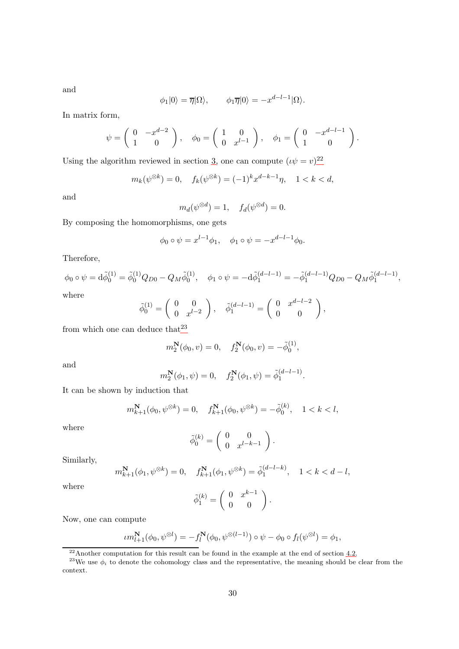$$
\phi_1|0\rangle = \overline{\eta}|\Omega\rangle, \qquad \phi_1\overline{\eta}|0\rangle = -x^{d-l-1}|\Omega\rangle.
$$

In matrix form,

$$
\psi = \left(\begin{array}{cc} 0 & -x^{d-2} \\ 1 & 0 \end{array}\right), \quad \phi_0 = \left(\begin{array}{cc} 1 & 0 \\ 0 & x^{l-1} \end{array}\right), \quad \phi_1 = \left(\begin{array}{cc} 0 & -x^{d-l-1} \\ 1 & 0 \end{array}\right).
$$

Using the algorithm reviewed in section [3,](#page-4-0) one can compute  $(\iota \psi = v)^{22}$  $(\iota \psi = v)^{22}$  $(\iota \psi = v)^{22}$ 

$$
m_k(\psi^{\otimes k}) = 0
$$
,  $f_k(\psi^{\otimes k}) = (-1)^k x^{d-k-1} \eta$ ,  $1 < k < d$ ,

and

and

$$
m_d(\psi^{\otimes d}) = 1, \quad f_d(\psi^{\otimes d}) = 0.
$$

By composing the homomorphisms, one gets

$$
\phi_0 \circ \psi = x^{l-1} \phi_1, \quad \phi_1 \circ \psi = -x^{d-l-1} \phi_0.
$$

Therefore,

$$
\phi_0 \circ \psi = d\tilde{\phi}_0^{(1)} = \tilde{\phi}_0^{(1)} Q_{D0} - Q_M \tilde{\phi}_0^{(1)}, \quad \phi_1 \circ \psi = -d\tilde{\phi}_1^{(d-l-1)} = -\tilde{\phi}_1^{(d-l-1)} Q_{D0} - Q_M \tilde{\phi}_1^{(d-l-1)},
$$
  
where

$$
\tilde{\phi}_0^{(1)} = \begin{pmatrix} 0 & 0 \\ 0 & x^{l-2} \end{pmatrix}, \quad \tilde{\phi}_1^{(d-l-1)} = \begin{pmatrix} 0 & x^{d-l-2} \\ 0 & 0 \end{pmatrix},
$$

from which one can deduce that  $23$ 

$$
m_2^N(\phi_0, v) = 0, \quad f_2^N(\phi_0, v) = -\tilde{\phi}_0^{(1)},
$$

and

$$
m_2^{\mathbf{N}}(\phi_1, \psi) = 0, \quad f_2^{\mathbf{N}}(\phi_1, \psi) = \tilde{\phi}_1^{(d-l-1)}.
$$

It can be shown by induction that

$$
m_{k+1}^{\mathbf{N}}(\phi_0, \psi^{\otimes k}) = 0, \quad f_{k+1}^{\mathbf{N}}(\phi_0, \psi^{\otimes k}) = -\tilde{\phi}_0^{(k)}, \quad 1 < k < l,
$$

where

$$
\tilde{\phi}_0^{(k)} = \left( \begin{array}{cc} 0 & 0 \\ 0 & x^{l-k-1} \end{array} \right).
$$

Similarly,

$$
m_{k+1}^{\mathbf{N}}(\phi_1, \psi^{\otimes k}) = 0, \quad f_{k+1}^{\mathbf{N}}(\phi_1, \psi^{\otimes k}) = \tilde{\phi}_1^{(d-l-k)}, \quad 1 < k < d-l,
$$

where

$$
\tilde{\phi}_1^{(k)} = \left(\begin{array}{cc} 0 & x^{k-1} \\ 0 & 0 \end{array}\right).
$$

Now, one can compute

$$
\iota m_{l+1}^{\mathbf{N}}(\phi_0, \psi^{\otimes l}) = -f_l^{\mathbf{N}}(\phi_0, \psi^{\otimes (l-1)}) \circ \psi - \phi_0 \circ f_l(\psi^{\otimes l}) = \phi_1,
$$

<span id="page-29-0"></span> $^{22}$ Another computation for this result can be found in the example at the end of section [4.2.](#page-12-0)

<span id="page-29-1"></span><sup>23</sup>We use  $\phi_i$  to denote the cohomology class and the representative, the meaning should be clear from the context.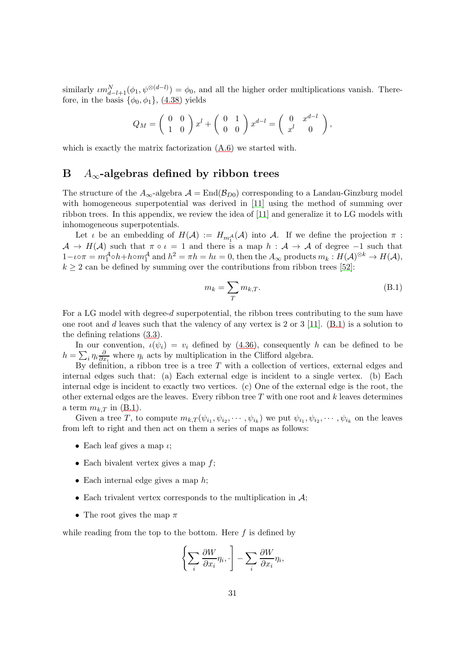similarly  $\iota m_{d-l+1}^N(\phi_1, \psi^{\otimes (d-l)}) = \phi_0$ , and all the higher order multiplications vanish. Therefore, in the basis  $\{\phi_0, \phi_1\}$ , [\(4.38\)](#page-13-1) yields

$$
Q_M = \begin{pmatrix} 0 & 0 \\ 1 & 0 \end{pmatrix} x^l + \begin{pmatrix} 0 & 1 \\ 0 & 0 \end{pmatrix} x^{d-l} = \begin{pmatrix} 0 & x^{d-l} \\ x^l & 0 \end{pmatrix},
$$

<span id="page-30-0"></span>which is exactly the matrix factorization  $(A.6)$  we started with.

### B  $A_{\infty}$ -algebras defined by ribbon trees

The structure of the  $A_{\infty}$ -algebra  $\mathcal{A} = \text{End}(\mathcal{B}_{D0})$  corresponding to a Landau-Ginzburg model with homogeneous superpotential was derived in [\[11\]](#page-33-4) using the method of summing over ribbon trees. In this appendix, we review the idea of [\[11\]](#page-33-4) and generalize it to LG models with inhomogeneous superpotentials.

Let  $\iota$  be an embedding of  $H(\mathcal{A}) := H_{m_1^{\mathcal{A}}}(\mathcal{A})$  into  $\mathcal{A}$ . If we define the projection  $\pi$ :  $A \to H(A)$  such that  $\pi \circ \iota = 1$  and there is a map  $h : A \to A$  of degree -1 such that  $1-\iota\circ\pi=m_1^{\mathcal{A}}\circ h+h\circ m_1^{\mathcal{A}}$  and  $h^2=\pi h=h\iota=0$ , then the  $A_\infty$  products  $m_k:H(\mathcal{A})^{\otimes k}\to H(\mathcal{A}),$  $k \geq 2$  can be defined by summing over the contributions from ribbon trees [\[52\]](#page-35-10):

<span id="page-30-1"></span>
$$
m_k = \sum_{T} m_{k,T}.\tag{B.1}
$$

For a LG model with degree-d superpotential, the ribbon trees contributing to the sum have one root and d leaves such that the valency of any vertex is 2 or 3 [\[11\]](#page-33-4).  $(B.1)$  is a solution to the defining relations [\(3.3\)](#page-4-3).

In our convention,  $\iota(\psi_i) = v_i$  defined by [\(4.36\)](#page-12-2), consequently h can be defined to be  $h=\sum_i \eta_i \frac{\partial}{\partial x}$  $\frac{\partial}{\partial x_i}$  where  $\eta_i$  acts by multiplication in the Clifford algebra.

By definition, a ribbon tree is a tree  $T$  with a collection of vertices, external edges and internal edges such that: (a) Each external edge is incident to a single vertex. (b) Each internal edge is incident to exactly two vertices. (c) One of the external edge is the root, the other external edges are the leaves. Every ribbon tree  $T$  with one root and  $k$  leaves determines a term  $m_{k,T}$  in [\(B.1\)](#page-30-1).

Given a tree T, to compute  $m_{k,T}(\psi_{i_1}, \psi_{i_2}, \cdots, \psi_{i_k})$  we put  $\psi_{i_1}, \psi_{i_2}, \cdots, \psi_{i_k}$  on the leaves from left to right and then act on them a series of maps as follows:

- Each leaf gives a map  $\iota$ ;
- Each bivalent vertex gives a map  $f$ ;
- Each internal edge gives a map  $h$ ;
- Each trivalent vertex corresponds to the multiplication in  $\mathcal{A}$ ;
- The root gives the map  $\pi$

while reading from the top to the bottom. Here  $f$  is defined by

$$
\left\{\sum_i \frac{\partial W}{\partial x_i} \eta_i, \cdot\right\} - \sum_i \frac{\partial W}{\partial x_i} \eta_i,
$$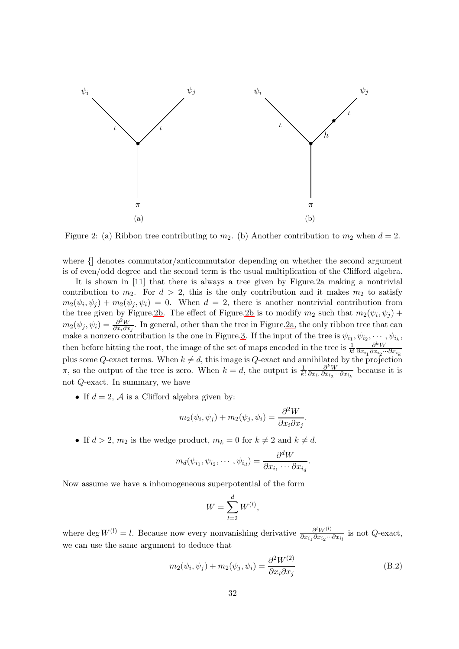<span id="page-31-1"></span>

Figure 2: (a) Ribbon tree contributing to  $m_2$ . (b) Another contribution to  $m_2$  when  $d = 2$ .

where {] denotes commutator/anticommutator depending on whether the second argument is of even/odd degree and the second term is the usual multiplication of the Clifford algebra.

It is shown in [\[11\]](#page-33-4) that there is always a tree given by Figure[.2a](#page-31-1) making a nontrivial contribution to  $m_2$ . For  $d > 2$ , this is the only contribution and it makes  $m_2$  to satisfy  $m_2(\psi_i, \psi_j) + m_2(\psi_j, \psi_i) = 0$ . When  $d = 2$ , there is another nontrivial contribution from the tree given by Figure[.2b.](#page-31-1) The effect of Figure[.2b](#page-31-1) is to modify  $m_2$  such that  $m_2(\psi_i, \psi_j)$  +  $m_2(\psi_j, \psi_i) = \frac{\partial^2 W}{\partial x_i \partial x_i}$  $\frac{\partial^2 W}{\partial x_i \partial x_j}$ . In general, other than the tree in Figure[.2a,](#page-31-1) the only ribbon tree that can make a nonzero contribution is the one in Figure[.3.](#page-32-7) If the input of the tree is  $\psi_{i_1}, \psi_{i_2}, \cdots, \psi_{i_k}$ , then before hitting the root, the image of the set of maps encoded in the tree is  $\frac{1}{k!}$  $\partial^k W$  $\partial x_{i_1} \partial x_{i_2} ... \partial x_{i_k}$ plus some Q-exact terms. When  $k \neq d$ , this image is Q-exact and annihilated by the projection  $\pi$ , so the output of the tree is zero. When  $k = d$ , the output is  $\frac{1}{k!}$  $\partial^k W$  $\frac{\partial^n W}{\partial x_{i_1} \partial x_{i_2} \cdots \partial x_{i_k}}$  because it is not Q-exact. In summary, we have

• If  $d = 2$ , A is a Clifford algebra given by:

$$
m_2(\psi_i, \psi_j) + m_2(\psi_j, \psi_i) = \frac{\partial^2 W}{\partial x_i \partial x_j}.
$$

• If  $d > 2$ ,  $m_2$  is the wedge product,  $m_k = 0$  for  $k \neq 2$  and  $k \neq d$ .

$$
m_d(\psi_{i_1}, \psi_{i_2}, \cdots, \psi_{i_d}) = \frac{\partial^d W}{\partial x_{i_1} \cdots \partial x_{i_d}}.
$$

Now assume we have a inhomogeneous superpotential of the form

$$
W = \sum_{l=2}^{d} W^{(l)},
$$

where deg  $W^{(l)} = l$ . Because now every nonvanishing derivative  $\frac{\partial^l W^{(l)}}{\partial x_i \partial x_i}$ ...  $\frac{\partial^{\alpha} W^{(1)}}{\partial x_{i_1} \partial x_{i_2} \cdots \partial x_{i_l}}$  is not Q-exact, we can use the same argument to deduce that

<span id="page-31-0"></span>
$$
m_2(\psi_i, \psi_j) + m_2(\psi_j, \psi_i) = \frac{\partial^2 W^{(2)}}{\partial x_i \partial x_j}
$$
 (B.2)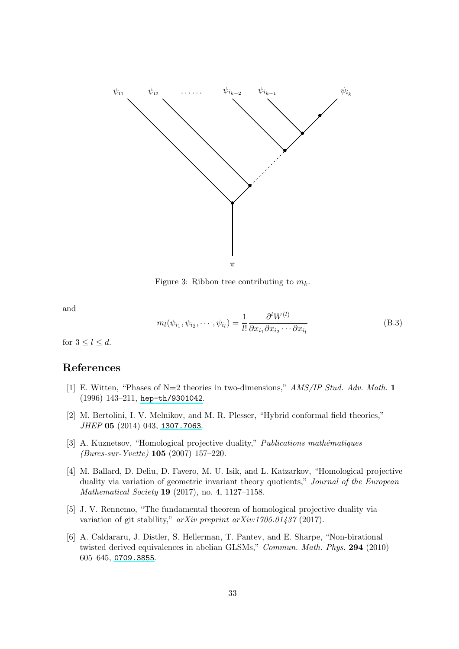<span id="page-32-7"></span>

Figure 3: Ribbon tree contributing to  $m_k$ .

and

<span id="page-32-6"></span>
$$
m_l(\psi_{i_1}, \psi_{i_2}, \cdots, \psi_{i_l}) = \frac{1}{l!} \frac{\partial^l W^{(l)}}{\partial x_{i_1} \partial x_{i_2} \cdots \partial x_{i_l}}
$$
(B.3)

for  $3 \leq l \leq d$ .

### <span id="page-32-0"></span>References

- [1] E. Witten, "Phases of N=2 theories in two-dimensions," AMS/IP Stud. Adv. Math. 1 (1996) 143–211, [hep-th/9301042](http://www.arXiv.org/abs/hep-th/9301042).
- <span id="page-32-1"></span>[2] M. Bertolini, I. V. Melnikov, and M. R. Plesser, "Hybrid conformal field theories," JHEP 05 (2014) 043, [1307.7063](http://www.arXiv.org/abs/1307.7063).
- <span id="page-32-2"></span>[3] A. Kuznetsov, "Homological projective duality," *Publications mathématiques* (Bures-sur-Yvette) 105 (2007) 157–220.
- <span id="page-32-3"></span>[4] M. Ballard, D. Deliu, D. Favero, M. U. Isik, and L. Katzarkov, "Homological projective duality via variation of geometric invariant theory quotients," Journal of the European Mathematical Society 19 (2017), no. 4, 1127–1158.
- <span id="page-32-4"></span>[5] J. V. Rennemo, "The fundamental theorem of homological projective duality via variation of git stability," arXiv preprint arXiv:1705.01437 (2017).
- <span id="page-32-5"></span>[6] A. Caldararu, J. Distler, S. Hellerman, T. Pantev, and E. Sharpe, "Non-birational twisted derived equivalences in abelian GLSMs," Commun. Math. Phys. 294 (2010) 605–645, [0709.3855](http://www.arXiv.org/abs/0709.3855).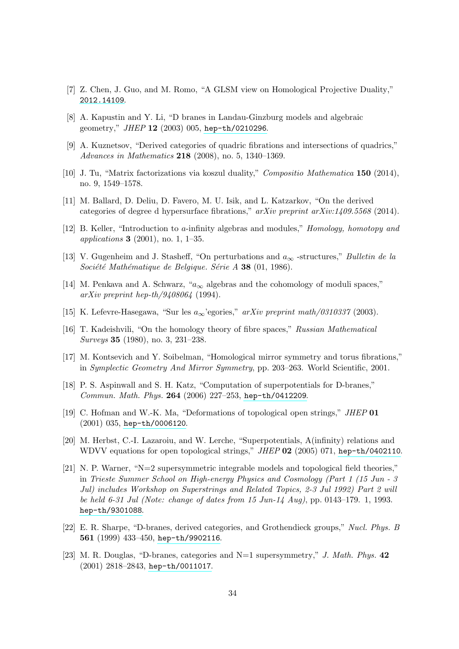- <span id="page-33-1"></span><span id="page-33-0"></span>[7] Z. Chen, J. Guo, and M. Romo, "A GLSM view on Homological Projective Duality," [2012.14109](http://www.arXiv.org/abs/2012.14109).
- <span id="page-33-2"></span>[8] A. Kapustin and Y. Li, "D branes in Landau-Ginzburg models and algebraic geometry," JHEP 12 (2003) 005, [hep-th/0210296](http://www.arXiv.org/abs/hep-th/0210296).
- [9] A. Kuznetsov, "Derived categories of quadric fibrations and intersections of quadrics," Advances in Mathematics 218 (2008), no. 5, 1340–1369.
- <span id="page-33-4"></span><span id="page-33-3"></span>[10] J. Tu, "Matrix factorizations via koszul duality," Compositio Mathematica 150 (2014), no. 9, 1549–1578.
- <span id="page-33-5"></span>[11] M. Ballard, D. Deliu, D. Favero, M. U. Isik, and L. Katzarkov, "On the derived categories of degree d hypersurface fibrations,"  $arXiv$  preprint  $arXiv:1409.5568$  (2014).
- <span id="page-33-6"></span>[12] B. Keller, "Introduction to a-infinity algebras and modules," Homology, homotopy and applications 3 (2001), no. 1, 1–35.
- [13] V. Gugenheim and J. Stasheff, "On perturbations and  $a_{\infty}$  -structures," *Bulletin de la* Société Mathématique de Belgique. Série A 38 (01, 1986).
- [14] M. Penkava and A. Schwarz, " $a_{\infty}$  algebras and the cohomology of moduli spaces," arXiv preprint hep-th/9408064 (1994).
- <span id="page-33-8"></span><span id="page-33-7"></span>[15] K. Lefevre-Hasegawa, "Sur les  $a_{\infty}$ 'egories," arXiv preprint math/0310337 (2003).
- <span id="page-33-9"></span>[16] T. Kadeishvili, "On the homology theory of fibre spaces," Russian Mathematical Surveys 35 (1980), no. 3, 231–238.
- <span id="page-33-10"></span>[17] M. Kontsevich and Y. Soibelman, "Homological mirror symmetry and torus fibrations," in Symplectic Geometry And Mirror Symmetry, pp. 203–263. World Scientific, 2001.
- [18] P. S. Aspinwall and S. H. Katz, "Computation of superpotentials for D-branes," Commun. Math. Phys. 264 (2006) 227–253, [hep-th/0412209](http://www.arXiv.org/abs/hep-th/0412209).
- <span id="page-33-11"></span>[19] C. Hofman and W.-K. Ma, "Deformations of topological open strings," JHEP 01 (2001) 035, [hep-th/0006120](http://www.arXiv.org/abs/hep-th/0006120).
- <span id="page-33-12"></span>[20] M. Herbst, C.-I. Lazaroiu, and W. Lerche, "Superpotentials, A(infinity) relations and WDVV equations for open topological strings," JHEP 02 (2005) 071, [hep-th/0402110](http://www.arXiv.org/abs/hep-th/0402110).
- <span id="page-33-14"></span>[21] N. P. Warner, " $N=2$  supersymmetric integrable models and topological field theories," in Trieste Summer School on High-energy Physics and Cosmology (Part 1 (15 Jun - 3 Jul) includes Workshop on Superstrings and Related Topics, 2-3 Jul 1992) Part 2 will be held 6-31 Jul (Note: change of dates from 15 Jun-14 Aug), pp. 0143–179. 1, 1993. [hep-th/9301088](http://www.arXiv.org/abs/hep-th/9301088).
- <span id="page-33-13"></span>[22] E. R. Sharpe, "D-branes, derived categories, and Grothendieck groups," Nucl. Phys. B 561 (1999) 433–450, [hep-th/9902116](http://www.arXiv.org/abs/hep-th/9902116).
- [23] M. R. Douglas, "D-branes, categories and  $N=1$  supersymmetry," J. Math. Phys. 42 (2001) 2818–2843, [hep-th/0011017](http://www.arXiv.org/abs/hep-th/0011017).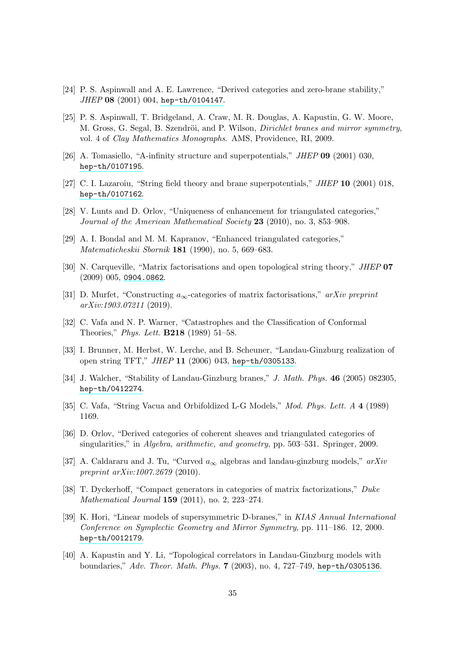- <span id="page-34-0"></span>[24] P. S. Aspinwall and A. E. Lawrence, "Derived categories and zero-brane stability," JHEP 08 (2001) 004, [hep-th/0104147](http://www.arXiv.org/abs/hep-th/0104147).
- [25] P. S. Aspinwall, T. Bridgeland, A. Craw, M. R. Douglas, A. Kapustin, G. W. Moore, M. Gross, G. Segal, B. Szendröi, and P. Wilson, *Dirichlet branes and mirror symmetry*, vol. 4 of Clay Mathematics Monographs. AMS, Providence, RI, 2009.
- <span id="page-34-1"></span>[26] A. Tomasiello, "A-infinity structure and superpotentials," JHEP 09 (2001) 030, [hep-th/0107195](http://www.arXiv.org/abs/hep-th/0107195).
- [27] C. I. Lazaroiu, "String field theory and brane superpotentials," JHEP 10 (2001) 018, [hep-th/0107162](http://www.arXiv.org/abs/hep-th/0107162).
- <span id="page-34-2"></span>[28] V. Lunts and D. Orlov, "Uniqueness of enhancement for triangulated categories," Journal of the American Mathematical Society 23 (2010), no. 3, 853–908.
- <span id="page-34-3"></span>[29] A. I. Bondal and M. M. Kapranov, "Enhanced triangulated categories," Matematicheskii Sbornik 181 (1990), no. 5, 669–683.
- <span id="page-34-4"></span>[30] N. Carqueville, "Matrix factorisations and open topological string theory," JHEP 07 (2009) 005, [0904.0862](http://www.arXiv.org/abs/0904.0862).
- <span id="page-34-5"></span>[31] D. Murfet, "Constructing  $a_{\infty}$ -categories of matrix factorisations," arXiv preprint arXiv:1903.07211 (2019).
- [32] C. Vafa and N. P. Warner, "Catastrophes and the Classification of Conformal Theories," Phys. Lett. B218 (1989) 51–58.
- <span id="page-34-6"></span>[33] I. Brunner, M. Herbst, W. Lerche, and B. Scheuner, "Landau-Ginzburg realization of open string TFT," JHEP 11 (2006) 043, [hep-th/0305133](http://www.arXiv.org/abs/hep-th/0305133).
- <span id="page-34-7"></span>[34] J. Walcher, "Stability of Landau-Ginzburg branes," J. Math. Phys. 46 (2005) 082305, [hep-th/0412274](http://www.arXiv.org/abs/hep-th/0412274).
- <span id="page-34-9"></span><span id="page-34-8"></span>[35] C. Vafa, "String Vacua and Orbifoldized L-G Models," Mod. Phys. Lett. A 4 (1989) 1169.
- [36] D. Orlov, "Derived categories of coherent sheaves and triangulated categories of singularities," in Algebra, arithmetic, and geometry, pp. 503–531. Springer, 2009.
- <span id="page-34-10"></span>[37] A. Caldararu and J. Tu, "Curved  $a_{\infty}$  algebras and landau-ginzburg models,"  $arXiv$ preprint  $arXiv:1007.2679$  (2010).
- <span id="page-34-11"></span>[38] T. Dyckerhoff, "Compact generators in categories of matrix factorizations," Duke Mathematical Journal 159 (2011), no. 2, 223–274.
- <span id="page-34-12"></span>[39] K. Hori, "Linear models of supersymmetric D-branes," in KIAS Annual International Conference on Symplectic Geometry and Mirror Symmetry, pp. 111–186. 12, 2000. [hep-th/0012179](http://www.arXiv.org/abs/hep-th/0012179).
- <span id="page-34-13"></span>[40] A. Kapustin and Y. Li, "Topological correlators in Landau-Ginzburg models with boundaries," Adv. Theor. Math. Phys. 7 (2003), no. 4, 727–749, [hep-th/0305136](http://www.arXiv.org/abs/hep-th/0305136).